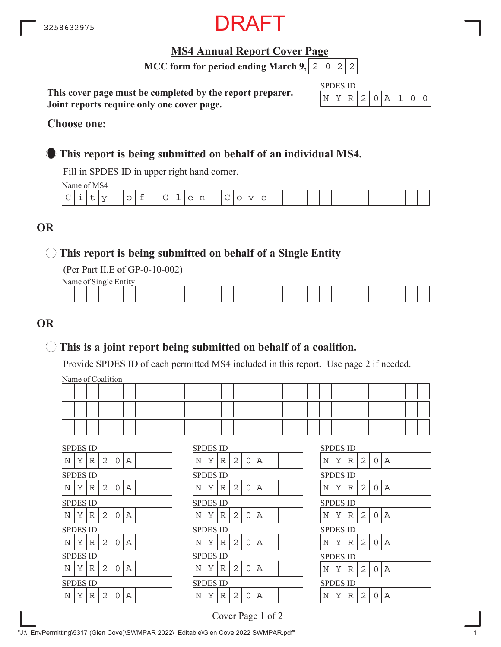

#### **MS4 Annual Report Cover Page**

**MCC form for period ending March 9,**  $|2|0|2|2$ 

**This cover page must be completed by the report preparer. Joint reports require only one cover page.**

| SPI. | ч. | \$ID |   |  |  |  |
|------|----|------|---|--|--|--|
|      |    |      | ÷ |  |  |  |

#### **Choose one:**

#### **This report is being submitted on behalf of an individual MS4.**

Fill in SPDES ID in upper right hand corner.

Name of MS4

| $\cdots$    |   |          |   |                               |                                         |   |   |                                 |   |      |   |  |  |  |  |  |  |  |
|-------------|---|----------|---|-------------------------------|-----------------------------------------|---|---|---------------------------------|---|------|---|--|--|--|--|--|--|--|
| $\sim$<br>╰ | ∽ | - -<br>- | ∼ | $\overline{\phantom{a}}$<br>- | $\sim$<br>$\overline{\phantom{a}}$<br>◡ | - | ∽ | $\overline{\phantom{0}}$<br>. . | ◡ | $ -$ | ◡ |  |  |  |  |  |  |  |
|             |   |          |   |                               |                                         |   |   |                                 |   |      |   |  |  |  |  |  |  |  |

#### **OR**

#### **This report is being submitted on behalf of a Single Entity**

(Per Part II.E of GP-0-10-002)

Name of Single Entity

| the contract of the contract of the contract of<br>the contract of the contract of the contract of |  |  |  |  |  |  |  |  |  |  |  |  |  |  |  |
|----------------------------------------------------------------------------------------------------|--|--|--|--|--|--|--|--|--|--|--|--|--|--|--|
|                                                                                                    |  |  |  |  |  |  |  |  |  |  |  |  |  |  |  |
|                                                                                                    |  |  |  |  |  |  |  |  |  |  |  |  |  |  |  |
|                                                                                                    |  |  |  |  |  |  |  |  |  |  |  |  |  |  |  |

#### **OR**

#### **This is a joint report being submitted on behalf of a coalition.**

Provide SPDES ID of each permitted MS4 included in this report. Use page 2 if needed.

Name of Coalition

|  |  |  |  |  |  |  |  |  |  |  |  |  |  | ___ |
|--|--|--|--|--|--|--|--|--|--|--|--|--|--|-----|
|  |  |  |  |  |  |  |  |  |  |  |  |  |  |     |

|   | <b>SPDES ID</b> |   |   |          |   |  |  | <b>SPDES ID</b> |   |   |                |          |   |  |  | <b>SPDES ID</b> |   |   |
|---|-----------------|---|---|----------|---|--|--|-----------------|---|---|----------------|----------|---|--|--|-----------------|---|---|
| N | Υ               | R | 2 | $\Omega$ | А |  |  | N               | Y | R | 2              | $\Omega$ | Α |  |  | N               | Y | R |
|   | <b>SPDES ID</b> |   |   |          |   |  |  | <b>SPDES ID</b> |   |   |                |          |   |  |  | <b>SPDES ID</b> |   |   |
| Ν | Y               | R | 2 | $\Omega$ | А |  |  | N               | Y | R | $\overline{2}$ | 0        | Α |  |  | N               | Y | R |
|   | <b>SPDES ID</b> |   |   |          |   |  |  | <b>SPDES ID</b> |   |   |                |          |   |  |  | <b>SPDES ID</b> |   |   |
| Ν | Y               | R | 2 | 0        | Α |  |  | N               | Y | R | 2              | 0        | Α |  |  | N               | Y | R |
|   |                 |   |   |          |   |  |  |                 |   |   |                |          |   |  |  |                 |   |   |
|   | <b>SPDES ID</b> |   |   |          |   |  |  | <b>SPDES ID</b> |   |   |                |          |   |  |  | <b>SPDES ID</b> |   |   |
| Ν | Y               | R | 2 | 0        | А |  |  | N               | Y | R | 2              | 0        | Α |  |  | N               | Y | R |
|   | <b>SPDES ID</b> |   |   |          |   |  |  | <b>SPDES ID</b> |   |   |                |          |   |  |  | <b>SPDES ID</b> |   |   |
| Ν | Υ               | R | 2 | $\Omega$ | А |  |  | N               | Υ | R | 2              | 0        | Α |  |  | Ν               | Υ | R |
|   | <b>SPDES ID</b> |   |   |          |   |  |  | <b>SPDES ID</b> |   |   |                |          |   |  |  | <b>SPDES ID</b> |   |   |
| N | Y               | R | 2 | 0        | А |  |  | N               | Y | R | 2              | 0        | Α |  |  | N               | Υ | R |

|   | SPDES ID        |   |   |          |   |  | <b>SPDES ID</b> |   |   |   |          |   |  |  | <b>SPDES ID</b> |   |   |   |          |   |
|---|-----------------|---|---|----------|---|--|-----------------|---|---|---|----------|---|--|--|-----------------|---|---|---|----------|---|
| N | Υ               | R | 2 | $\Omega$ | A |  | N               | Y | R | 2 | $\Omega$ | Α |  |  | N               | Υ | R | 2 | Ω        | Α |
|   | SPDES ID        |   |   |          |   |  | <b>SPDES ID</b> |   |   |   |          |   |  |  | <b>SPDES ID</b> |   |   |   |          |   |
| Ν | Υ               | R | 2 | 0        | А |  | N               | Υ | R | 2 | 0        | Α |  |  | N               | Υ | R | 2 | Ω        | Α |
|   | SPDES ID        |   |   |          |   |  | <b>SPDES ID</b> |   |   |   |          |   |  |  | <b>SPDES ID</b> |   |   |   |          |   |
| N | Υ               | R | 2 | 0        | A |  | N               | Y | R | 2 | $\Omega$ | Α |  |  | Ν               | Υ | R | 2 | 0        | Α |
|   | SPDES ID        |   |   |          |   |  | <b>SPDES ID</b> |   |   |   |          |   |  |  | <b>SPDES ID</b> |   |   |   |          |   |
| N | Y               | R | 2 | $\Omega$ | Α |  | Ν               | Y | R | 2 | O        | Α |  |  | Ν               | Y | R | 2 | $\Omega$ | Α |
|   | SPDES ID        |   |   |          |   |  | <b>SPDES ID</b> |   |   |   |          |   |  |  | <b>SPDES ID</b> |   |   |   |          |   |
| N | Υ               | R | 2 | $\Omega$ | A |  | N               | Y | R | 2 | $\Omega$ | Α |  |  | N               | Υ | R | 2 | 0        | Α |
|   | <b>SPDES ID</b> |   |   |          |   |  | <b>SPDES ID</b> |   |   |   |          |   |  |  | <b>SPDES ID</b> |   |   |   |          |   |
| Ν | Υ               | R | 2 | 0        | Α |  | N               | Υ | R | 2 | Ω        | Α |  |  | N               | Y | R | 2 | 0        | Α |
|   |                 |   |   |          |   |  |                 |   |   |   |          |   |  |  |                 |   |   |   |          |   |

| <b>SPDES ID</b> |   |   |                |                |                |  |  |
|-----------------|---|---|----------------|----------------|----------------|--|--|
| Ν               | Υ | R | 2              | $\overline{O}$ | $\overline{A}$ |  |  |
| SPDES ID        |   |   |                |                |                |  |  |
| N               | Υ | R | $\overline{2}$ | $\overline{O}$ | A              |  |  |
| SPDES ID        |   |   |                |                |                |  |  |
| N               | Y | R | $\overline{c}$ | 0              | Α              |  |  |
| SPDES ID        |   |   |                |                |                |  |  |
| N               | Y | R | 2              | $\overline{O}$ | $\mathbb A$    |  |  |
| SPDES ID        |   |   |                |                |                |  |  |
| N               | Y | R | $\overline{2}$ | $\Omega$       | A              |  |  |
| <b>SPDES ID</b> |   |   |                |                |                |  |  |
| N               | Y | R | $\overline{2}$ | O              | А              |  |  |

Cover Page 1 of 2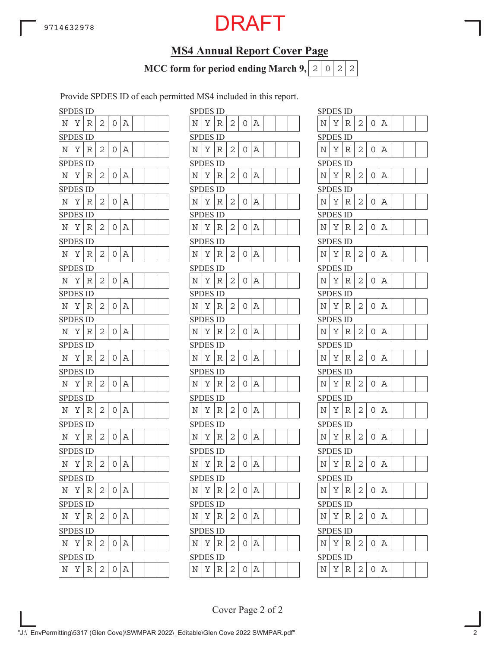### **MS4 Annual Report Cover Page**

**MCC form for period ending March 9,**  $|2|0|2|2$ 

Provide SPDES ID of each permitted MS4 included in this report.

|                    | <b>SPDES ID</b> |   |   |   |   |                    | <b>SPDES ID</b> |   |
|--------------------|-----------------|---|---|---|---|--------------------|-----------------|---|
| N                  | Υ               | R | 2 | 0 | Α | Ν                  | Υ               | R |
|                    | <b>SPDES ID</b> |   |   |   |   |                    | <b>SPDES ID</b> |   |
| N                  | Υ               | R | 2 | 0 | Α | N                  | Υ               | R |
|                    | SPDES ID        |   |   |   |   |                    | <b>SPDES ID</b> |   |
| N                  | Υ               | R | 2 | 0 | Α | N                  | Υ               | R |
|                    | <b>SPDES ID</b> |   |   |   |   |                    | <b>SPDES ID</b> |   |
| N                  | Υ               | R | 2 | 0 | Α | Ν                  | Υ               | R |
|                    | <b>SPDES ID</b> |   |   |   |   |                    | <b>SPDES ID</b> |   |
| Ν                  | Υ               | R | 2 | 0 | Α | N                  | Υ               | R |
|                    | <b>SPDES ID</b> |   |   |   |   |                    | <b>SPDES ID</b> |   |
| N                  | Υ               | R | 2 | 0 | Α | N                  | Υ               | R |
|                    | <b>SPDES ID</b> |   |   |   |   |                    | <b>SPDES ID</b> |   |
| N                  | Υ               | R | 2 | 0 | Α | N                  | Υ               | R |
|                    | <b>SPDES ID</b> |   |   |   |   |                    | <b>SPDES ID</b> |   |
| N                  | Υ               | R | 2 | 0 | Α | N                  | Υ               | R |
|                    | <b>SPDES ID</b> |   |   |   |   |                    | <b>SPDES ID</b> |   |
| N                  | Υ               | R | 2 | 0 | Α | N                  | Υ               | R |
|                    | <b>SPDES ID</b> |   |   |   |   |                    | SPDES ID        |   |
| Ν                  | Υ               | R | 2 | 0 | Α | Ν                  | Υ               | R |
|                    | <b>SPDES ID</b> |   |   |   |   |                    | <b>SPDES ID</b> |   |
| Ν                  | Υ               | R | 2 | 0 | Α | Ν                  | Υ               | R |
|                    | <b>SPDES ID</b> |   |   |   |   |                    | <b>SPDES ID</b> |   |
| N                  | Υ               | R | 2 | 0 | Α | N                  | Υ               | R |
|                    | SPDES ID        |   |   |   |   |                    | SPDES ID        |   |
| Ν                  | Υ               | R | 2 | 0 | Α | Ν                  | Υ               | R |
| <b>SPI</b>         | DES ID          |   |   |   |   |                    | SPDES ID        |   |
| N                  | Υ               | R | 2 | 0 | Α | $\overline{\rm N}$ | Υ               | R |
|                    | <b>SPDES ID</b> |   |   |   |   |                    | <b>SPDES ID</b> |   |
| $\overline{\rm N}$ | Υ               | R | 2 | 0 | Α | Ν                  | Υ               | R |
|                    | <b>SPDES ID</b> |   |   |   |   |                    | <b>SPDES ID</b> |   |
| Ν                  | Υ               | R | 2 | 0 | Α | N                  | Υ               | R |
|                    | <b>SPDES ID</b> |   |   |   |   |                    | <b>SPDES ID</b> |   |
| N                  | Υ               | R | 2 | 0 | Α | N                  | Υ               | R |
|                    | <b>SPDES ID</b> |   |   |   |   |                    | <b>SPDES ID</b> |   |
| N                  | Υ               | R | 2 | 0 | A | $\overline{\rm N}$ | Υ               | R |

|            | SPDES ID        |   |   |                |   |  |   | <b>SPDES ID</b> |   |   |          |    |  |  | SPDES ID        |   |   |   |   |                |
|------------|-----------------|---|---|----------------|---|--|---|-----------------|---|---|----------|----|--|--|-----------------|---|---|---|---|----------------|
| N          | Υ               | R | 2 | 0              | Α |  | N | Υ               | R | 2 | 0        | Α  |  |  | Ν               | Υ | R | 2 | 0 | $\mathbb A$    |
|            | <b>SPDES ID</b> |   |   |                |   |  |   | <b>SPDES ID</b> |   |   |          |    |  |  | <b>SPDES ID</b> |   |   |   |   |                |
| Ν          | Υ               | R | 2 | 0              | А |  | Ν | Υ               | R | 2 | 0        | А  |  |  | N               | Υ | R | 2 | 0 | Α              |
|            | SPDES ID        |   |   |                |   |  |   | <b>SPDES ID</b> |   |   |          |    |  |  | <b>SPDES ID</b> |   |   |   |   |                |
| N          | Υ               | R | 2 | 0              | Α |  | N | Υ               | R | 2 | 0        | Α  |  |  | Ν               | Υ | R | 2 |   | $0 \mid A$     |
|            | SPDES ID        |   |   |                |   |  |   | <b>SPDES ID</b> |   |   |          |    |  |  | <b>SPDES ID</b> |   |   |   |   |                |
| N          | Υ               | R | 2 | 0              | А |  | N | Υ               | R | 2 | 0        | Α  |  |  | Ν               | Υ | R | 2 | 0 | $\overline{A}$ |
|            | <b>SPDES ID</b> |   |   |                |   |  |   | <b>SPDES ID</b> |   |   |          |    |  |  | <b>SPDES ID</b> |   |   |   |   |                |
| N          | Υ               | R | 2 | 0              | Α |  | Ν | Υ               | R | 2 | 0        | Α  |  |  | Ν               | Υ | R | 2 |   | $0 \mid A$     |
|            | SPDES ID        |   |   |                |   |  |   | <b>SPDES ID</b> |   |   |          |    |  |  | <b>SPDES ID</b> |   |   |   |   |                |
| N          | Υ               | R | 2 | $\Omega$       | Α |  | N | Υ               | R | 2 | $\Omega$ | Α  |  |  | Ν               | Υ | R | 2 |   | $0 \mid A$     |
|            | SPDES ID        |   |   |                |   |  |   | <b>SPDES ID</b> |   |   |          |    |  |  | <b>SPDES ID</b> |   |   |   |   |                |
| Ν          | Υ               | R | 2 | 0              | А |  | N | Υ               | R | 2 | 0        | Α  |  |  | N               | Υ | R | 2 |   | $0 \mid A$     |
|            | <b>SPDES ID</b> |   |   |                |   |  |   | <b>SPDES ID</b> |   |   |          |    |  |  | <b>SPDES ID</b> |   |   |   |   |                |
| N          | Υ               | R | 2 | 0              | А |  | Ν | Υ               | R | 2 | 0        | А  |  |  | N               | Υ | R | 2 | 0 | Α              |
|            | SPDES ID        |   |   |                |   |  |   | <b>SPDES ID</b> |   |   |          |    |  |  | <b>SPDES ID</b> |   |   |   |   |                |
| N          | Υ               | R | 2 | 0              | А |  | N | Υ               | R | 2 | 0        | Α  |  |  | N               | Υ | R | 2 | 0 | Α              |
|            | <b>SPDES ID</b> |   |   |                |   |  |   | <b>SPDES ID</b> |   |   |          |    |  |  | <b>SPDES ID</b> |   |   |   |   |                |
| N          | Υ               | R | 2 | 0              | А |  | N | Υ               | R | 2 | 0        | А  |  |  | Ν               | Y | R | 2 |   | $0 \mid A$     |
|            | <b>SPDES ID</b> |   |   |                |   |  |   | <b>SPDES ID</b> |   |   |          |    |  |  | <b>SPDES ID</b> |   |   |   |   |                |
| N          | Υ               | R | 2 | 0              | Α |  | Ν | Υ               | R | 2 | 0        | Α  |  |  | Ν               | Υ | R | 2 |   | $0 \mid A$     |
|            | SPDES ID        |   |   |                |   |  |   | <b>SPDES ID</b> |   |   |          |    |  |  | <b>SPDES ID</b> |   |   |   |   |                |
| Ν          | Υ               | R | 2 | 0              | А |  | N | Υ               | R | 2 | 0        | Α  |  |  | N               | Υ | R | 2 | 0 | Α              |
|            | SPDES ID        |   |   |                |   |  |   | <b>SPDES ID</b> |   |   |          |    |  |  | <b>SPDES ID</b> |   |   |   |   |                |
| N          | Υ               | R | 2 | 0              | А |  | N | Υ               | R | 2 | 0        | Α  |  |  | N               | Υ | R | 2 | 0 | Α              |
|            | <b>SPDES ID</b> |   |   |                |   |  |   | <b>SPDES ID</b> |   |   |          |    |  |  | <b>SPDES ID</b> |   |   |   |   |                |
| Ν          | Υ               | R | 2 | 0              | Α |  | N | Υ               | R | 2 | 0        | Α  |  |  | N               | Υ | R | 2 | 0 | Α              |
|            | <b>SPDES ID</b> |   |   |                |   |  |   | <b>SPDES ID</b> |   |   |          |    |  |  | <b>SPDES ID</b> |   |   |   |   |                |
| $\rm N$    | Υ               | R | 2 | 0              | Α |  | Ν | Υ               | R | 2 | 0        | A  |  |  | $\rm N$         | Υ | R | 2 |   | $0 \mid A$     |
|            | <b>SPDES ID</b> |   |   |                |   |  |   | <b>SPDES ID</b> |   |   |          |    |  |  | <b>SPDES ID</b> |   |   |   |   |                |
| Ν          | Y               | R | 2 | O              | Α |  | N | Υ               | R | 2 | 0        | ΙA |  |  | Ν               | Υ | R | 2 |   | 0 <sub>1</sub> |
|            | <b>SPDES ID</b> |   |   |                |   |  |   | <b>SPDES ID</b> |   |   |          |    |  |  | <b>SPDES ID</b> |   |   |   |   |                |
| Ν          | Υ               | R | 2 | $\overline{O}$ | Α |  | Ν | Υ               | R | 2 | 0        | A  |  |  | Ν               | Υ | R | 2 |   | $0 \mid A$     |
|            | <b>SPDES ID</b> |   |   |                |   |  |   | <b>SPDES ID</b> |   |   |          |    |  |  | <b>SPDES ID</b> |   |   |   |   |                |
| $_{\rm N}$ | Υ               | R | 2 | 0              | Α |  | Ν | Υ               | R | 2 | 0        | Α  |  |  | $\mathbb N$     | Υ | R | 2 |   | 0 A            |
|            |                 |   |   |                |   |  |   |                 |   |   |          |    |  |  |                 |   |   |   |   |                |

| <b>SPDES ID</b>    |                 |    |                |   |                         |  |  |
|--------------------|-----------------|----|----------------|---|-------------------------|--|--|
| N                  | Υ               | R  | 2              | 0 | Α                       |  |  |
|                    | SPDES ID        |    |                |   |                         |  |  |
| N                  | Υ               | R  | 2              | 0 | Α                       |  |  |
| <b>SPDES ID</b>    |                 |    |                |   |                         |  |  |
| Ν                  | Υ               | R  | 2              | 0 | A                       |  |  |
|                    | SPDES           | ID |                |   |                         |  |  |
| N                  | Y               | R  | 2              | 0 | Α                       |  |  |
|                    | SPDES ID        |    |                |   |                         |  |  |
| N                  | Υ               | R  | 2              | 0 | A                       |  |  |
|                    | SPDES ID        |    |                |   |                         |  |  |
| Ν                  | Υ               | R  | 2              | 0 | Α                       |  |  |
| <b>SPDES ID</b>    |                 |    |                |   |                         |  |  |
| Ν                  | Y               | R  | 2              | 0 | Α                       |  |  |
|                    | SPDES ID        |    |                |   |                         |  |  |
| $\overline{\rm N}$ | Υ               | R  | 2              | 0 | Α                       |  |  |
| <b>SPDES ID</b>    |                 |    |                |   |                         |  |  |
| Ν                  | Υ               | R  | $\overline{2}$ | 0 | Α                       |  |  |
| <b>SPDES ID</b>    |                 |    |                |   |                         |  |  |
| Ν                  | Υ               | R  | 2              | 0 | Α                       |  |  |
|                    | SPDES ID        |    |                |   |                         |  |  |
| N                  | Υ               | R  | 2              | 0 | Α                       |  |  |
| <b>SPDES ID</b>    |                 |    |                |   |                         |  |  |
| Ν                  | Υ               | R  | $\overline{2}$ | 0 | Α                       |  |  |
| <b>SPDES ID</b>    |                 |    |                |   |                         |  |  |
| N                  | Υ               | R  | 2              | 0 | Α                       |  |  |
|                    | SPDES ID        |    |                |   |                         |  |  |
| N                  | Υ               | R  | $\overline{c}$ | 0 | $\overline{\mathbb{A}}$ |  |  |
| <b>SPDES ID</b>    |                 |    |                |   |                         |  |  |
| Ν                  | Y               | R  | 2              | 0 | Α                       |  |  |
|                    | <b>SPDES ID</b> |    |                |   |                         |  |  |
| $\overline{\rm N}$ | Υ               | R  | 2              | 0 | Α                       |  |  |
| SPI                | DES ID          |    |                |   |                         |  |  |
| N                  | Υ               | R  | 2              | 0 | Α                       |  |  |
|                    | SPDES ID        |    |                |   |                         |  |  |
| N                  | Υ               | R  | 2              | 0 | Α                       |  |  |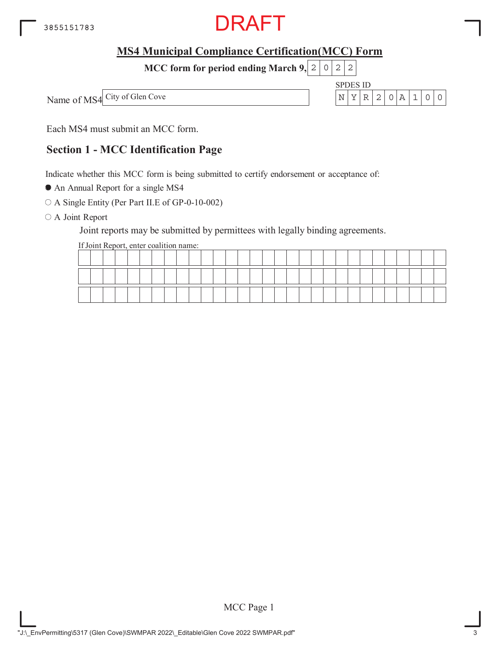

**MCC form for period ending March 9, 2 0 2 2** 

Name of MS4 City of Glen Cove

SPDES ID



Each MS4 must submit an MCC form.

#### **Section 1 - MCC Identification Page**

Indicate whether this MCC form is being submitted to certify endorsement or acceptance of:

An Annual Report for a single MS4

A Single Entity (Per Part II.E of GP-0-10-002)

O A Joint Report

Joint reports may be submitted by permittees with legally binding agreements.

If Joint Report, enter coalition name:

|  |  | -- |  |  |  |  |  |  |  |  |  |  |  |  |  |
|--|--|----|--|--|--|--|--|--|--|--|--|--|--|--|--|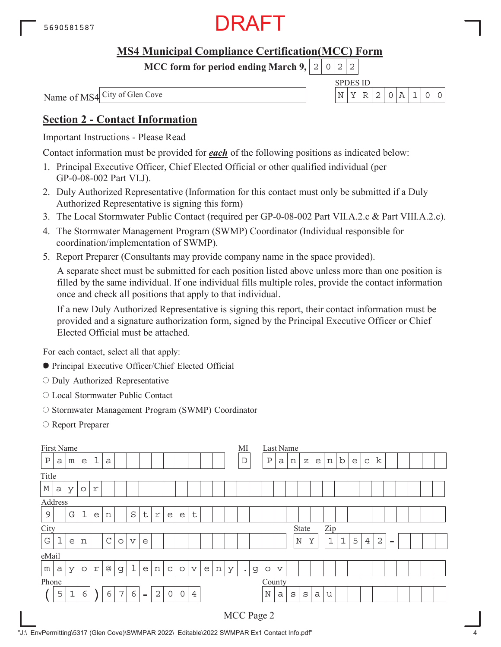

**MCC form for period ending March 9,**  $0|2|2$ 

SPDES ID Name of MS4 City of Glen Cove N YR 2 0A 1 00

#### **Section 2 - Contact Information**

Important Instructions - Please Read

Contact information must be provided for *each* of the following positions as indicated below:

- 1. Principal Executive Officer, Chief Elected Official or other qualified individual (per GP-0-08-002 Part VI.J).
- 2. Duly Authorized Representative (Information for this contact must only be submitted if a Duly Authorized Representative is signing this form)
- 3. The Local Stormwater Public Contact (required per GP-0-08-002 Part VII.A.2.c & Part VIII.A.2.c).
- 4. The Stormwater Management Program (SWMP) Coordinator (Individual responsible for coordination/implementation of SWMP).
- 5. Report Preparer (Consultants may provide company name in the space provided).

A separate sheet must be submitted for each position listed above unless more than one position is filled by the same individual. If one individual fills multiple roles, provide the contact information once and check all positions that apply to that individual.

If a new Duly Authorized Representative is signing this report, their contact information must be provided and a signature authorization form, signed by the Principal Executive Officer or Chief Elected Official must be attached.

For each contact, select all that apply:

- Principal Executive Officer/Chief Elected Official
- O Duly Authorized Representative
- Local Stormwater Public Contact
- O Stormwater Management Program (SWMP) Coordinator
- Report Preparer

|              | First Name   |             |         |            |               |         |                 |                |                |                     |              |                 |   |   |   | MI          |   |              |                 | Last Name |   |   |             |              |   |                |                |          |  |  |  |
|--------------|--------------|-------------|---------|------------|---------------|---------|-----------------|----------------|----------------|---------------------|--------------|-----------------|---|---|---|-------------|---|--------------|-----------------|-----------|---|---|-------------|--------------|---|----------------|----------------|----------|--|--|--|
| $\, {\bf P}$ | a            | m           | e       | 1          | $\mathsf{a}$  |         |                 |                |                |                     |              |                 |   |   |   | $\mathbf D$ |   | $\, {\bf P}$ | а               | n         | Ζ | e | n           | $\mathbf b$  | e | $\mathsf{C}$   | k              |          |  |  |  |
| Title        |              |             |         |            |               |         |                 |                |                |                     |              |                 |   |   |   |             |   |              |                 |           |   |   |             |              |   |                |                |          |  |  |  |
| $\mathbb M$  | a            | У           | $\circ$ | $\Upsilon$ |               |         |                 |                |                |                     |              |                 |   |   |   |             |   |              |                 |           |   |   |             |              |   |                |                |          |  |  |  |
| Address      |              |             |         |            |               |         |                 |                |                |                     |              |                 |   |   |   |             |   |              |                 |           |   |   |             |              |   |                |                |          |  |  |  |
| $\mathsf 9$  |              | G           | l       | e          | n             |         | $\rm S$         | $\sf t$        | $\Upsilon$     | e                   | e            | $\sf t$         |   |   |   |             |   |              |                 |           |   |   |             |              |   |                |                |          |  |  |  |
| City         | Zip<br>State |             |         |            |               |         |                 |                |                |                     |              |                 |   |   |   |             |   |              |                 |           |   |   |             |              |   |                |                |          |  |  |  |
| $\mathbf G$  |              | e           | n       |            | $\mathcal{C}$ | $\circ$ | $\triangledown$ | e              |                |                     |              |                 |   |   |   |             |   |              |                 | N         |   | Y | $\mathbf 1$ | $\mathbf{1}$ | 5 | $\overline{4}$ | $\overline{2}$ | $\equiv$ |  |  |  |
| eMail        |              |             |         |            |               |         |                 |                |                |                     |              |                 |   |   |   |             |   |              |                 |           |   |   |             |              |   |                |                |          |  |  |  |
| m            | a            | У           | $\circ$ | $\Upsilon$ | @             | g       | $\mathbf 1$     | e              | n              | $\mathsf{C}$        | $\circ$      | $\triangledown$ | e | n | У | $\bullet$   | g | $\circ$      | $\triangledown$ |           |   |   |             |              |   |                |                |          |  |  |  |
| Phone        |              |             |         |            |               |         |                 |                |                |                     |              |                 |   |   |   |             |   | County       |                 |           |   |   |             |              |   |                |                |          |  |  |  |
|              | 5            | $\mathbf 1$ | 6       |            | 6             | 7       | 6               | $\blacksquare$ | $\overline{2}$ | $\mathsf{O}\xspace$ | $\mathsf{O}$ | $\overline{4}$  |   |   |   |             |   | $\mathbb N$  | a               | S         | S | a | u           |              |   |                |                |          |  |  |  |
|              |              |             |         |            |               |         |                 |                |                |                     |              |                 |   |   |   | MCC Page 2  |   |              |                 |           |   |   |             |              |   |                |                |          |  |  |  |

"J:\\_EnvPermitting\5317 (Glen Cove)\SWMPAR 2022\\_Editable\2022 SWMPAR Ex1 Contact Info.pdf" 4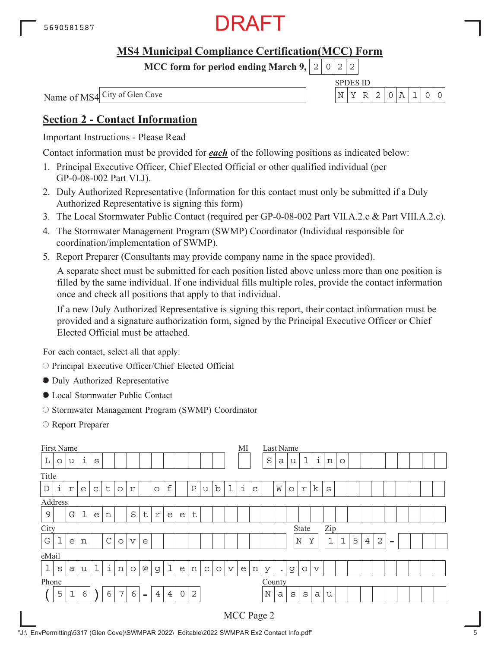

**MCC form for period ending March 9,**  $0|2|2$ 

SPDES ID Name of MS4 City of Glen Cove N YR 2 0A 1 00

#### **Section 2 - Contact Information**

Important Instructions - Please Read

Contact information must be provided for *each* of the following positions as indicated below:

- 1. Principal Executive Officer, Chief Elected Official or other qualified individual (per GP-0-08-002 Part VI.J).
- 2. Duly Authorized Representative (Information for this contact must only be submitted if a Duly Authorized Representative is signing this form)
- 3. The Local Stormwater Public Contact (required per GP-0-08-002 Part VII.A.2.c & Part VIII.A.2.c).
- 4. The Stormwater Management Program (SWMP) Coordinator (Individual responsible for coordination/implementation of SWMP).
- 5. Report Preparer (Consultants may provide company name in the space provided).

A separate sheet must be submitted for each position listed above unless more than one position is filled by the same individual. If one individual fills multiple roles, provide the contact information once and check all positions that apply to that individual.

If a new Duly Authorized Representative is signing this report, their contact information must be provided and a signature authorization form, signed by the Principal Executive Officer or Chief Elected Official must be attached.

For each contact, select all that apply:

O Principal Executive Officer/Chief Elected Official

- Duly Authorized Representative
- Local Stormwater Public Contact
- O Stormwater Management Program (SWMP) Coordinator
- Report Preparer

| First Name  |   |   |   |              |               |         |                     |          |                |   |             |              |             |             |                 | МI |             |             |           | Last Name |             |                 |              |             |   |                |                |          |  |  |
|-------------|---|---|---|--------------|---------------|---------|---------------------|----------|----------------|---|-------------|--------------|-------------|-------------|-----------------|----|-------------|-------------|-----------|-----------|-------------|-----------------|--------------|-------------|---|----------------|----------------|----------|--|--|
| $\mathbb L$ | O | u | i | S            |               |         |                     |          |                |   |             |              |             |             |                 |    |             | S           | a         | u         | $\mathbf 1$ | i               | n            | $\circ$     |   |                |                |          |  |  |
| Title       |   |   |   |              |               |         |                     |          |                |   |             |              |             |             |                 |    |             |             |           |           |             |                 |              |             |   |                |                |          |  |  |
| $\mathbb D$ | i | r | e | $\mathsf{C}$ | $\sf t$       | $\circ$ | r                   |          | $\circ$        | f |             | $\rm P$      | u           | $\mathbf b$ | l               | i  | $\mathsf C$ |             | W         | $\circ$   | $\Upsilon$  | k               | S            |             |   |                |                |          |  |  |
| Address     |   |   |   |              |               |         |                     |          |                |   |             |              |             |             |                 |    |             |             |           |           |             |                 |              |             |   |                |                |          |  |  |
| $\mathsf 9$ |   | G | l | e            | n             |         | $\rm S$             | $\sf t$  | $\Upsilon$     | e | e           | $\mathsf{t}$ |             |             |                 |    |             |             |           |           |             |                 |              |             |   |                |                |          |  |  |
| City        |   |   |   |              |               |         |                     |          |                |   |             |              |             |             |                 |    |             |             |           |           | State       |                 | Zip          |             |   |                |                |          |  |  |
| G           | ᆂ | e | n |              | $\mathcal{C}$ | $\circ$ | $\mathbf v$         | e        |                |   |             |              |             |             |                 |    |             |             |           |           | $\mathbb N$ | Y               | $\mathbf{1}$ | $\mathbf 1$ | 5 | $\overline{4}$ | $\overline{2}$ | $\equiv$ |  |  |
| eMail       |   |   |   |              |               |         |                     |          |                |   |             |              |             |             |                 |    |             |             |           |           |             |                 |              |             |   |                |                |          |  |  |
| $\mathbf 1$ | S | a | u | $\mathbf 1$  | i             | n       | $\circlearrowright$ | $@$      | $\mathsf d$    | 1 | e           | n            | $\mathsf C$ | $\circ$     | $\triangledown$ | e  | n           | У           | $\bullet$ | g         | $\circ$     | $\triangledown$ |              |             |   |                |                |          |  |  |
| Phone       |   |   |   |              |               |         |                     |          |                |   |             |              |             |             |                 |    |             | County      |           |           |             |                 |              |             |   |                |                |          |  |  |
|             | 5 | 1 | 6 |              | 6             | 7       | 6                   | $\equiv$ | $\overline{4}$ | 4 | $\mathbf 0$ | $\mathbf{2}$ |             |             |                 |    |             | $\mathbf N$ | a         | S         | S           | a               | u            |             |   |                |                |          |  |  |
|             |   |   |   |              |               |         |                     |          |                |   |             |              |             |             |                 |    |             | MCC Page 2  |           |           |             |                 |              |             |   |                |                |          |  |  |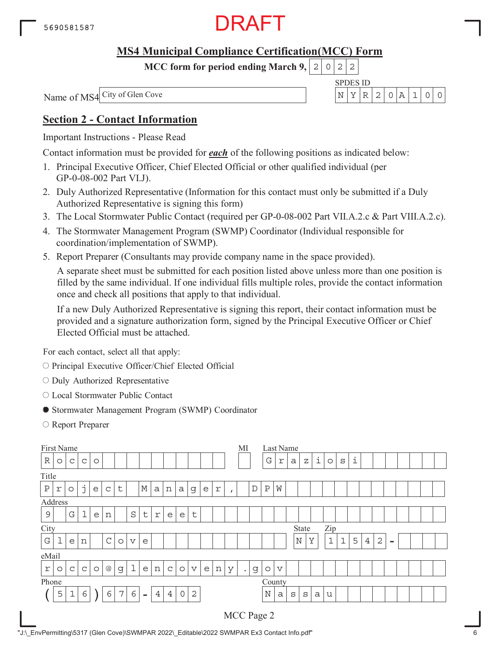

**MCC form for period ending March 9,**  $0|2|2$ 

SPDES ID Name of MS4 City of Glen Cove N YR 2 0A 1 00

#### **Section 2 - Contact Information**

Important Instructions - Please Read

Contact information must be provided for *each* of the following positions as indicated below:

- 1. Principal Executive Officer, Chief Elected Official or other qualified individual (per GP-0-08-002 Part VI.J).
- 2. Duly Authorized Representative (Information for this contact must only be submitted if a Duly Authorized Representative is signing this form)
- 3. The Local Stormwater Public Contact (required per GP-0-08-002 Part VII.A.2.c & Part VIII.A.2.c).
- 4. The Stormwater Management Program (SWMP) Coordinator (Individual responsible for coordination/implementation of SWMP).
- 5. Report Preparer (Consultants may provide company name in the space provided).

A separate sheet must be submitted for each position listed above unless more than one position is filled by the same individual. If one individual fills multiple roles, provide the contact information once and check all positions that apply to that individual.

If a new Duly Authorized Representative is signing this report, their contact information must be provided and a signature authorization form, signed by the Principal Executive Officer or Chief Elected Official must be attached.

For each contact, select all that apply:

- O Principal Executive Officer/Chief Elected Official
- $\circ$  Duly Authorized Representative
- Local Stormwater Public Contact
- Stormwater Management Program (SWMP) Coordinator
- Report Preparer

| First Name   |             |              |              |         |                 |         |                 |             |                           |                |             |              |   |             |              | МI        |             |              |                 | Last Name    |       |   |              |             |   |                |                |                |  |  |
|--------------|-------------|--------------|--------------|---------|-----------------|---------|-----------------|-------------|---------------------------|----------------|-------------|--------------|---|-------------|--------------|-----------|-------------|--------------|-----------------|--------------|-------|---|--------------|-------------|---|----------------|----------------|----------------|--|--|
| R            | $\circ$     | $\mathsf C$  | C            | $\circ$ |                 |         |                 |             |                           |                |             |              |   |             |              |           |             | G            | $\Upsilon$      | $\rm{a}$     | Ζ     | i | $\circ$      | $\rm s$     | i |                |                |                |  |  |
| Title        |             |              |              |         |                 |         |                 |             |                           |                |             |              |   |             |              |           |             |              |                 |              |       |   |              |             |   |                |                |                |  |  |
| $\, {\bf P}$ | $\mathbf r$ | $\circ$      | j            | e       | $\mathsf C$     | t       |                 | $\mathbb M$ | $\mathsf{a}$              | n              | a           | g            | е | $\mathbf r$ | $\mathbf{r}$ |           | $\mathbb D$ | $\, {\bf P}$ | W               |              |       |   |              |             |   |                |                |                |  |  |
| Address      |             |              |              |         |                 |         |                 |             |                           |                |             |              |   |             |              |           |             |              |                 |              |       |   |              |             |   |                |                |                |  |  |
| $\mathsf 9$  |             | G            | l            | e       | n               |         | $\rm S$         | $\sf t$     | $\ensuremath{\mathbf{r}}$ | e              | e           | $\mathsf{t}$ |   |             |              |           |             |              |                 |              |       |   |              |             |   |                |                |                |  |  |
| City         |             |              |              |         |                 |         |                 |             |                           |                |             |              |   |             |              |           |             |              |                 |              | State |   | Zip          |             |   |                |                |                |  |  |
| $\mathbf G$  | ┷           | e            | n            |         | $\mathcal{C}$   | $\circ$ | $\triangledown$ | e           |                           |                |             |              |   |             |              |           |             |              |                 | $\mathbb N$  |       | Y | $\mathbf{1}$ | $\mathbf 1$ | 5 | $\overline{4}$ | $\overline{2}$ | $\blacksquare$ |  |  |
| eMail        |             |              |              |         |                 |         |                 |             |                           |                |             |              |   |             |              |           |             |              |                 |              |       |   |              |             |   |                |                |                |  |  |
| r            | O           | $\mathsf{C}$ | $\mathsf{C}$ | $\circ$ | $^{\copyright}$ | g       | 1               | e           | n                         | $\mathsf{C}$   | $\circ$     | $\mathbf v$  | e | n           | У            | $\bullet$ | g           | $\circ$      | $\triangledown$ |              |       |   |              |             |   |                |                |                |  |  |
| Phone        |             |              |              |         |                 |         |                 |             |                           |                |             |              |   |             |              |           |             | County       |                 |              |       |   |              |             |   |                |                |                |  |  |
|              | 5           | $\mathbf 1$  | 6            |         | 6               | 7       | $\epsilon$      | $\equiv$    | $\overline{4}$            | $\overline{4}$ | $\mathbf 0$ | $\mathbf{2}$ |   |             |              |           |             | $\mathbf N$  | a               | $\mathtt{s}$ | S     | a | u            |             |   |                |                |                |  |  |
|              |             |              |              |         |                 |         |                 |             |                           |                |             |              |   |             |              |           |             | MCC Page 2   |                 |              |       |   |              |             |   |                |                |                |  |  |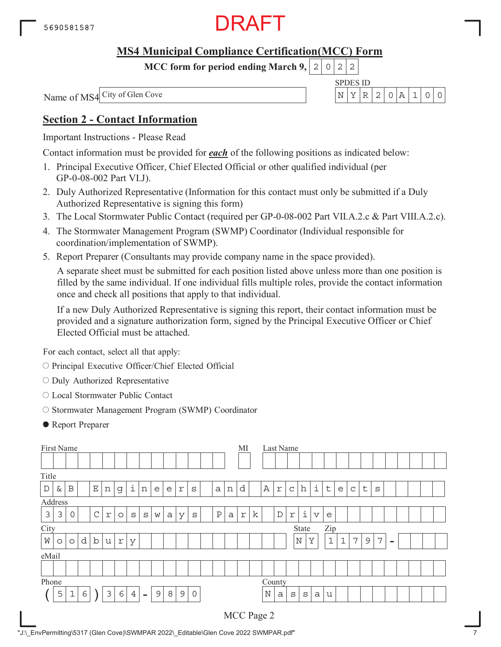

**MCC form for period ending March 9,**  $0|2|2$ 

SPDES ID Name of MS4 City of Glen Cove N YR 2 0A 1 00

#### **Section 2 - Contact Information**

Important Instructions - Please Read

Contact information must be provided for *each* of the following positions as indicated below:

- 1. Principal Executive Officer, Chief Elected Official or other qualified individual (per GP-0-08-002 Part VI.J).
- 2. Duly Authorized Representative (Information for this contact must only be submitted if a Duly Authorized Representative is signing this form)
- 3. The Local Stormwater Public Contact (required per GP-0-08-002 Part VII.A.2.c & Part VIII.A.2.c).
- 4. The Stormwater Management Program (SWMP) Coordinator (Individual responsible for coordination/implementation of SWMP).
- 5. Report Preparer (Consultants may provide company name in the space provided).

A separate sheet must be submitted for each position listed above unless more than one position is filled by the same individual. If one individual fills multiple roles, provide the contact information once and check all positions that apply to that individual.

If a new Duly Authorized Representative is signing this report, their contact information must be provided and a signature authorization form, signed by the Principal Executive Officer or Chief Elected Official must be attached.

For each contact, select all that apply:

- O Principal Executive Officer/Chief Elected Official
- $\circ$  Duly Authorized Representative
- Local Stormwater Public Contact
- O Stormwater Management Program (SWMP) Coordinator
- Report Preparer

| First Name  |                      |             |   |             |                |         |                |                     |   |   |               |              |  |              |   | MI         |   |             |   | Last Name   |             |                         |              |             |             |         |   |                          |  |  |  |
|-------------|----------------------|-------------|---|-------------|----------------|---------|----------------|---------------------|---|---|---------------|--------------|--|--------------|---|------------|---|-------------|---|-------------|-------------|-------------------------|--------------|-------------|-------------|---------|---|--------------------------|--|--|--|
|             |                      |             |   |             |                |         |                |                     |   |   |               |              |  |              |   |            |   |             |   |             |             |                         |              |             |             |         |   |                          |  |  |  |
| Title       |                      |             |   |             |                |         |                |                     |   |   |               |              |  |              |   |            |   |             |   |             |             |                         |              |             |             |         |   |                          |  |  |  |
| $\mathbb D$ | &                    | $\mathbf B$ |   | $\mathbf E$ | $\,$ $\,$ $\,$ | g       | $\dot{1}$      | n                   | e | e | $\Upsilon$    | S            |  | a            | n | d          |   | $\mathbb A$ | r | $\mathsf C$ | h           | i                       | t            | e           | $\mathsf C$ | $\sf t$ | S |                          |  |  |  |
| Address     |                      |             |   |             |                |         |                |                     |   |   |               |              |  |              |   |            |   |             |   |             |             |                         |              |             |             |         |   |                          |  |  |  |
| 3           | 3                    | 0           |   | $\mathsf C$ | $\Upsilon$     | $\circ$ | S              | $\mathbf S$         | W | а | У             | S            |  | $\, {\bf P}$ | a | $\Upsilon$ | k |             | D | $\Upsilon$  | i           | $\overline{\mathbf{V}}$ | e            |             |             |         |   |                          |  |  |  |
|             | City<br>Zip<br>State |             |   |             |                |         |                |                     |   |   |               |              |  |              |   |            |   |             |   |             |             |                         |              |             |             |         |   |                          |  |  |  |
| W           | $\circ$              | $\circ$     | d | $\mathbf b$ | u              | r       | У              |                     |   |   |               |              |  |              |   |            |   |             |   |             | $\mathbb N$ | Y                       | $\mathbf{1}$ | $\mathbf 1$ | 7           | 9       | 7 | $\overline{\phantom{a}}$ |  |  |  |
| eMail       |                      |             |   |             |                |         |                |                     |   |   |               |              |  |              |   |            |   |             |   |             |             |                         |              |             |             |         |   |                          |  |  |  |
|             |                      |             |   |             |                |         |                |                     |   |   |               |              |  |              |   |            |   |             |   |             |             |                         |              |             |             |         |   |                          |  |  |  |
| Phone       |                      |             |   |             |                |         |                |                     |   |   |               |              |  |              |   |            |   | County      |   |             |             |                         |              |             |             |         |   |                          |  |  |  |
|             | 5                    | $\mathbf 1$ | 6 |             | 3              | 6       | $\overline{4}$ | $\bar{\phantom{a}}$ | 9 | 8 | $\mathcal{G}$ | $\mathsf{O}$ |  |              |   |            |   | N           | a | $\rm s$     | S           | a                       | u            |             |             |         |   |                          |  |  |  |
|             |                      |             |   |             |                |         |                |                     |   |   |               |              |  |              |   |            |   | MCC Page 2  |   |             |             |                         |              |             |             |         |   |                          |  |  |  |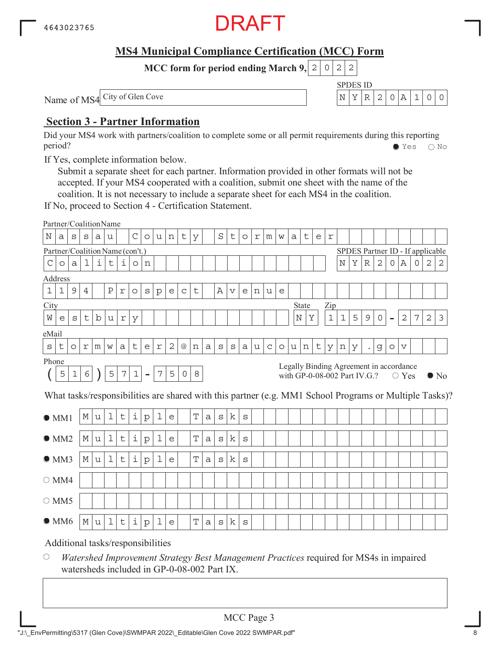

SPDES ID

 $N$   $Y$   $R$  | 2 | 0 | A | 1 | 0 | 0

**MCC form for period ending March 9, 2 0 2 2** 

Name of MS4 City of Glen Cove

#### **Section 3 - Partner Information**

Did your MS4 work with partners/coalition to complete some or all permit requirements during this reporting period? Yes No

If Yes, complete information below.

Submit a separate sheet for each partner. Information provided in other formats will not be accepted. If your MS4 cooperated with a coalition, submit one sheet with the name of the coalition. It is not necessary to include a separate sheet for each MS4 in the coalition.

If No, proceed to Section 4 - Certification Statement.

|                                                                                                                                                                                                                                                      | Partner/CoalitionName             |         |   |             |             |            |              |              |              |              |             |             |   |         |             |         |   |             |         |   |              |         |             |             |                                  |             |              |                          |                 |   |   |              |
|------------------------------------------------------------------------------------------------------------------------------------------------------------------------------------------------------------------------------------------------------|-----------------------------------|---------|---|-------------|-------------|------------|--------------|--------------|--------------|--------------|-------------|-------------|---|---------|-------------|---------|---|-------------|---------|---|--------------|---------|-------------|-------------|----------------------------------|-------------|--------------|--------------------------|-----------------|---|---|--------------|
| Ν                                                                                                                                                                                                                                                    | а                                 | S       | S | a           | u           |            | $\mathsf{C}$ | $\circ$      | u            | n            | t           | У           |   | $\rm S$ | t           | $\circ$ | r | m           | W       | a | t            | e       | $\mathbf r$ |             |                                  |             |              |                          |                 |   |   |              |
|                                                                                                                                                                                                                                                      | Partner/Coalition Name (con't.)   |         |   |             |             |            |              |              |              |              |             |             |   |         |             |         |   |             |         |   |              |         |             |             | SPDES Partner ID - If applicable |             |              |                          |                 |   |   |              |
| C                                                                                                                                                                                                                                                    | $\circ$                           | a       | ı | i           | t           | i.         | $\circ$      | n            |              |              |             |             |   |         |             |         |   |             |         |   |              |         |             | Ν           | Υ                                | $\mathbb R$ | $\mathbf{2}$ | 0                        | Α               | 0 | 2 | 2            |
|                                                                                                                                                                                                                                                      | Address                           |         |   |             |             |            |              |              |              |              |             |             |   |         |             |         |   |             |         |   |              |         |             |             |                                  |             |              |                          |                 |   |   |              |
| $1\,$                                                                                                                                                                                                                                                | 1                                 | 9       | 4 |             | Ρ           | r          | $\circ$      | S            | $\mathbf{p}$ | e            | $\mathsf C$ | t           |   | Α       | $\mathbf v$ | e       | n | u           | e       |   |              |         |             |             |                                  |             |              |                          |                 |   |   |              |
| City                                                                                                                                                                                                                                                 |                                   |         |   |             |             |            |              |              |              |              |             |             |   |         |             |         |   |             |         |   | State        |         | Zip         |             |                                  |             |              |                          |                 |   |   |              |
| W                                                                                                                                                                                                                                                    | e                                 | S       | t | $\mathbf b$ | u           | $\Upsilon$ | У            |              |              |              |             |             |   |         |             |         |   |             |         |   | $\rm N$<br>Υ |         | $\mathbf 1$ | $\mathbf 1$ | 5                                | $\mathsf 9$ | 0            | $\overline{\phantom{0}}$ | $\sqrt{2}$      | 7 | 2 | $\mathbf{3}$ |
| eMail                                                                                                                                                                                                                                                |                                   |         |   |             |             |            |              |              |              |              |             |             |   |         |             |         |   |             |         |   |              |         |             |             |                                  |             |              |                          |                 |   |   |              |
| $\rm s$                                                                                                                                                                                                                                              | t                                 | $\circ$ | r | m           | W           | a          | t            | e            | $\Upsilon$   | $\mathbf{2}$ | @           | n           | a | $\rm s$ | $\rm s$     | a       | u | $\mathsf C$ | $\circ$ | u | n            | $\sf t$ | У           | n           | У                                |             | g            | $\circ$                  | $\triangledown$ |   |   |              |
|                                                                                                                                                                                                                                                      |                                   |         |   |             |             |            |              |              |              |              |             |             |   |         |             |         |   |             |         |   |              |         |             |             |                                  |             |              |                          |                 |   |   |              |
| Phone<br>Legally Binding Agreement in accordance<br>$\epsilon$<br>5<br>5<br>$\boldsymbol{7}$<br>$\mathbf 1$<br>$\boldsymbol{7}$<br>5<br>$\,8\,$<br>$\mathbf 1$<br>$\circ$<br>$\overline{\phantom{a}}$<br>with GP-0-08-002 Part IV.G.?<br>$\circ$ Yes |                                   |         |   |             |             |            |              |              |              |              |             |             |   |         |             |         |   |             |         |   |              |         |             |             |                                  |             |              |                          |                 |   |   |              |
| $\bullet$ No<br>What tasks/responsibilities are shared with this partner (e.g. MM1 School Programs or Multiple Tasks)?                                                                                                                               |                                   |         |   |             |             |            |              |              |              |              |             |             |   |         |             |         |   |             |         |   |              |         |             |             |                                  |             |              |                          |                 |   |   |              |
| $\mathbf 1$<br>k<br>i<br>1<br>$\mathbf T$<br>М<br>t<br>u<br>${\rm p}$<br>e<br>a<br>S<br>$\rm s$<br>OM1                                                                                                                                               |                                   |         |   |             |             |            |              |              |              |              |             |             |   |         |             |         |   |             |         |   |              |         |             |             |                                  |             |              |                          |                 |   |   |              |
|                                                                                                                                                                                                                                                      | OMM2                              |         | М | u           | $\mathbf 1$ | t          | i            | $\rm p$      | 1            | e            |             | Т           | a | $\rm s$ | k           | $\rm s$ |   |             |         |   |              |         |             |             |                                  |             |              |                          |                 |   |   |              |
|                                                                                                                                                                                                                                                      | $\bullet$ MM3                     |         | М | u           | $\mathbf 1$ | t          | i            | $\mathbf{p}$ | 1            | e            |             | $\mathbf T$ | a | S       | k           | S       |   |             |         |   |              |         |             |             |                                  |             |              |                          |                 |   |   |              |
|                                                                                                                                                                                                                                                      | $\bigcirc$ MM4                    |         |   |             |             |            |              |              |              |              |             |             |   |         |             |         |   |             |         |   |              |         |             |             |                                  |             |              |                          |                 |   |   |              |
|                                                                                                                                                                                                                                                      | $\bigcirc$ MM5                    |         |   |             |             |            |              |              |              |              |             |             |   |         |             |         |   |             |         |   |              |         |             |             |                                  |             |              |                          |                 |   |   |              |
|                                                                                                                                                                                                                                                      | $\bullet$ MM6                     |         | М | u           | $\mathbf 1$ | t          | i            | $\mathbf{p}$ | 1            | e            |             | $\mathbf T$ | a | S       | k           | S       |   |             |         |   |              |         |             |             |                                  |             |              |                          |                 |   |   |              |
|                                                                                                                                                                                                                                                      | Additional tasks/responsibilities |         |   |             |             |            |              |              |              |              |             |             |   |         |             |         |   |             |         |   |              |         |             |             |                                  |             |              |                          |                 |   |   |              |

 $\bigcirc$ *Watershed Improvement Strategy Best Management Practices* required for MS4s in impaired watersheds included in GP-0-08-002 Part IX.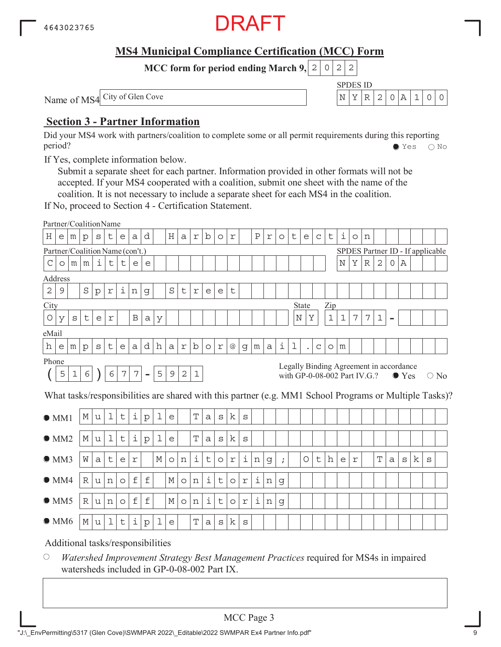

SPDES ID

 $N$   $Y$   $R$  | 2 | 0 | A | 1 | 0 | 0

**MCC form for period ending March 9, 2 0 2 2** 

Name of MS4 City of Glen Cove

#### **Section 3 - Partner Information**

Did your MS4 work with partners/coalition to complete some or all permit requirements during this reporting period? Yes No

If Yes, complete information below.

Submit a separate sheet for each partner. Information provided in other formats will not be accepted. If your MS4 cooperated with a coalition, submit one sheet with the name of the coalition. It is not necessary to include a separate sheet for each MS4 in the coalition.

If No, proceed to Section 4 - Certification Statement.

|                | Partner/CoalitionName           |             |              |              |                           |             |                 |                |             |              |             |                |                     |                |            |              |         |   |            |   |                                         |              |             |             |            |                |                |          |               |   |                                  |                                                                                                        |
|----------------|---------------------------------|-------------|--------------|--------------|---------------------------|-------------|-----------------|----------------|-------------|--------------|-------------|----------------|---------------------|----------------|------------|--------------|---------|---|------------|---|-----------------------------------------|--------------|-------------|-------------|------------|----------------|----------------|----------|---------------|---|----------------------------------|--------------------------------------------------------------------------------------------------------|
| $\rm H$        | e                               | m           | $\mathbf{p}$ | $\mathtt{s}$ | t                         | e           | a               | d              |             | Η            | a           | $\,$ $\,$ $\,$ | b                   | $\circ$        | r          |              | $\rm P$ | r | $\circ$    | t | e                                       | $\mathsf{C}$ | $\sf t$     | i           | $\circ$    | n              |                |          |               |   |                                  |                                                                                                        |
|                | Partner/Coalition Name (con't.) |             |              |              |                           |             |                 |                |             |              |             |                |                     |                |            |              |         |   |            |   |                                         |              |             |             |            |                |                |          |               |   | SPDES Partner ID - If applicable |                                                                                                        |
| $\mathcal{C}$  | $\circ$                         | m           | m            | i            | $\mathsf t$               | t           | e               | e              |             |              |             |                |                     |                |            |              |         |   |            |   |                                         |              |             | $_{\rm N}$  | Υ          | R              | $\overline{2}$ | $\Omega$ | Α             |   |                                  |                                                                                                        |
|                | Address                         |             |              |              |                           |             |                 |                |             |              |             |                |                     |                |            |              |         |   |            |   |                                         |              |             |             |            |                |                |          |               |   |                                  |                                                                                                        |
| $\overline{2}$ | 9                               |             | S            | $\mathbf{p}$ | $\ensuremath{\mathbf{r}}$ | ı           | n               | g              |             | $\rm S$      | $\sf t$     | $\Upsilon$     | e                   | e              | t          |              |         |   |            |   |                                         |              |             |             |            |                |                |          |               |   |                                  |                                                                                                        |
| City           |                                 |             |              |              |                           |             |                 |                |             |              |             |                |                     |                |            |              |         |   |            |   | <b>State</b>                            |              | Zip         |             |            |                |                |          |               |   |                                  |                                                                                                        |
| O              | У                               | S           | t            | e            | $\mathbf r$               |             | $\, {\bf B}$    | $\rm{a}$       | У           |              |             |                |                     |                |            |              |         |   |            |   | N<br>Υ                                  |              | $\mathbf 1$ | $\mathbf 1$ | 7          | $\overline{7}$ | $\mathbf 1$    |          |               |   |                                  |                                                                                                        |
| eMail          |                                 |             |              |              |                           |             |                 |                |             |              |             |                |                     |                |            |              |         |   |            |   |                                         |              |             |             |            |                |                |          |               |   |                                  |                                                                                                        |
| h              | e                               | m           | p            | $\mathtt{s}$ | $\mathsf t$               | e           | $\mathsf{a}$    | d              | h           | $\mathsf{a}$ | $\mathbf r$ | $\mathbf b$    | $\circ$             | $\,$ $\,$ $\,$ | @          | g            | m       | a | i          | ı | $\ddot{\phantom{0}}$                    | $\mathsf C$  | $\circ$     | m           |            |                |                |          |               |   |                                  |                                                                                                        |
| Phone          |                                 |             |              |              |                           |             |                 |                |             |              |             |                |                     |                |            |              |         |   |            |   | Legally Binding Agreement in accordance |              |             |             |            |                |                |          |               |   |                                  |                                                                                                        |
|                | 5                               | $\mathbf 1$ | 6            |              | $\epsilon$                | 7           | $7\phantom{.0}$ | $\blacksquare$ | 5           | 9            | 2           | $1\,$          |                     |                |            |              |         |   |            |   | with GP-0-08-002 Part IV.G.?            |              |             |             |            |                |                |          | $\bullet$ Yes |   |                                  | $\bigcirc$ No                                                                                          |
|                |                                 |             |              |              |                           |             |                 |                |             |              |             |                |                     |                |            |              |         |   |            |   |                                         |              |             |             |            |                |                |          |               |   |                                  | What tasks/responsibilities are shared with this partner (e.g. MM1 School Programs or Multiple Tasks)? |
|                |                                 |             |              |              |                           |             |                 |                |             |              |             |                |                     |                |            |              |         |   |            |   |                                         |              |             |             |            |                |                |          |               |   |                                  |                                                                                                        |
|                | OM1                             |             | М            | u            | $\mathbf 1$               | $\mathsf t$ | i               | $\mathbf{p}$   | 1           | e            |             | $\mathbf T$    | a                   | $\rm s$        | k          | $\mathtt{s}$ |         |   |            |   |                                         |              |             |             |            |                |                |          |               |   |                                  |                                                                                                        |
|                |                                 |             |              |              |                           |             |                 |                |             |              |             |                |                     |                |            |              |         |   |            |   |                                         |              |             |             |            |                |                |          |               |   |                                  |                                                                                                        |
|                | $\bullet$ MM2                   |             | М            | u            | 1                         | t           | i               | $\rm p$        | 1           | e            |             | $\mathbf T$    | a                   | $\mathbf S$    | k          | S            |         |   |            |   |                                         |              |             |             |            |                |                |          |               |   |                                  |                                                                                                        |
|                | OMM3                            |             | W            | a            | t                         | e           | $\Upsilon$      |                | $\mathbb M$ | $\circ$      | n           | i              | t                   | $\circ$        | $\Upsilon$ | i            | n       | g | $\ddot{i}$ |   | O                                       | t            | h           | e           | $\Upsilon$ |                | $\mathbf T$    | a        | S             | k | S                                |                                                                                                        |
|                |                                 |             |              |              |                           |             |                 |                |             |              |             |                |                     |                |            |              |         |   |            |   |                                         |              |             |             |            |                |                |          |               |   |                                  |                                                                                                        |
|                | $\bullet$ MM4                   |             | R            | u            | n                         | $\circ$     | f               | $\mathbf f$    |             | М            | $\circ$     | n              | i                   | t              | $\circ$    | $\Upsilon$   | i       | n | g          |   |                                         |              |             |             |            |                |                |          |               |   |                                  |                                                                                                        |
|                | $\bullet$ MM5                   |             | $\mathbb R$  | u            | n                         | $\circ$     | $\mathbf f$     | $\mathbf f$    |             | $\mathbb M$  | $\circ$     | n              | $\dot{\mathbbm{1}}$ | t              | $\circ$    | $\Upsilon$   | i       | n | g          |   |                                         |              |             |             |            |                |                |          |               |   |                                  |                                                                                                        |
|                | $\bullet$ MM6                   |             | М            | u            | 1                         | t           | i               | p              | 1           | e            |             | $\mathbf T$    | a                   | S              | k          | $\rm s$      |         |   |            |   |                                         |              |             |             |            |                |                |          |               |   |                                  |                                                                                                        |
|                |                                 |             |              |              |                           |             |                 |                |             |              |             |                |                     |                |            |              |         |   |            |   |                                         |              |             |             |            |                |                |          |               |   |                                  |                                                                                                        |
|                | .                               |             | $\sim$       | <b>A</b>     | $\overline{1}$            |             |                 | $\cdots$       |             |              |             |                |                     |                |            |              |         |   |            |   |                                         |              |             |             |            |                |                |          |               |   |                                  |                                                                                                        |

#### Additional tasks/responsibilities

 $\bigcirc$ *Watershed Improvement Strategy Best Management Practices* required for MS4s in impaired watersheds included in GP-0-08-002 Part IX.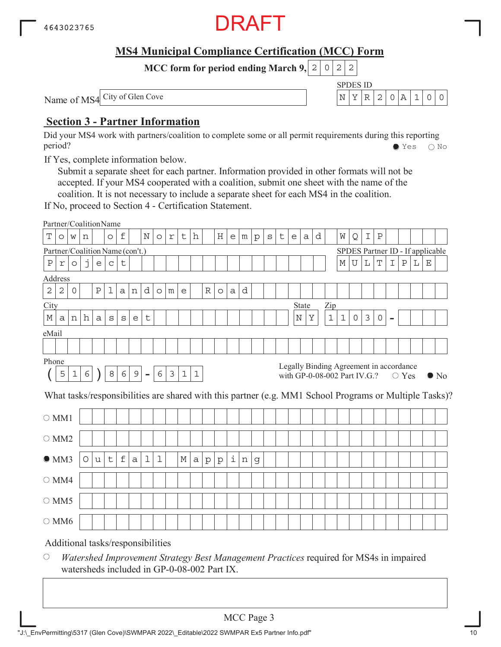

SPDES ID

 $N$  $Y$  $R$  2 0  $A$  1 0 0

**MCC form for period ending March 9, 2 0 2 2** 

Name of MS4 City of Glen Cove

#### **Section 3 - Partner Information**

Did your MS4 work with partners/coalition to complete some or all permit requirements during this reporting period? Yes No

If Yes, complete information below.

Submit a separate sheet for each partner. Information provided in other formats will not be accepted. If your MS4 cooperated with a coalition, submit one sheet with the name of the coalition. It is not necessary to include a separate sheet for each MS4 in the coalition.

If No, proceed to Section 4 - Certification Statement.

|                                                                                                                                                                                                                                                                |                                                                                                                                                       |         |   |                           | Partner/CoalitionName             |             |   |   |             |  |   |   |              |              |   |   |   |  |  |  |   |             |             |             |   |   |   |   |  |
|----------------------------------------------------------------------------------------------------------------------------------------------------------------------------------------------------------------------------------------------------------------|-------------------------------------------------------------------------------------------------------------------------------------------------------|---------|---|---------------------------|-----------------------------------|-------------|---|---|-------------|--|---|---|--------------|--------------|---|---|---|--|--|--|---|-------------|-------------|-------------|---|---|---|---|--|
| h<br>d<br>$\mathbf T$<br>f<br>N<br>$\rm H$<br>Q<br>$\, {\bf P}$<br>t<br>t<br>W<br>Ι<br>W<br>$\circ$<br>$\Upsilon$<br>e<br>$\mathtt{s}$<br>$\circ$<br>m<br>${\rm p}$<br>e<br>a<br>n<br>O<br>Partner/Coalition Name (con't.)<br>SPDES Partner ID - If applicable |                                                                                                                                                       |         |   |                           |                                   |             |   |   |             |  |   |   |              |              |   |   |   |  |  |  |   |             |             |             |   |   |   |   |  |
|                                                                                                                                                                                                                                                                |                                                                                                                                                       |         |   |                           |                                   |             |   |   |             |  |   |   |              |              |   |   |   |  |  |  |   |             |             |             |   |   |   |   |  |
| $\, {\bf P}$                                                                                                                                                                                                                                                   | $\Upsilon$                                                                                                                                            | $\circ$ | j | $\mathop{\rm e}\nolimits$ | $\mathsf C$                       | t           |   |   |             |  |   |   |              |              |   |   |   |  |  |  | М | $\mathbf U$ | $\mathbb L$ | $\mathbf T$ | I | Ρ | L | Ε |  |
| Address                                                                                                                                                                                                                                                        |                                                                                                                                                       |         |   |                           |                                   |             |   |   |             |  |   |   |              |              |   |   |   |  |  |  |   |             |             |             |   |   |   |   |  |
| $\sqrt{2}$<br>$\mathbf{2}$<br>d<br>$\circ$<br>$\rm P$<br>d<br>R<br>1<br>a<br>a<br>n<br>$\circ$<br>m<br>e<br>$\circ$<br>City<br>State<br>Zip                                                                                                                    |                                                                                                                                                       |         |   |                           |                                   |             |   |   |             |  |   |   |              |              |   |   |   |  |  |  |   |             |             |             |   |   |   |   |  |
|                                                                                                                                                                                                                                                                |                                                                                                                                                       |         |   |                           |                                   |             |   |   |             |  |   |   |              |              |   |   |   |  |  |  |   |             |             |             |   |   |   |   |  |
| М                                                                                                                                                                                                                                                              | $\mathbf 1$<br>Υ<br>$\mathbf 1$<br>$\mathfrak{Z}$<br>h<br>$\mathbf N$<br>0<br>$\mathsf{O}$<br>t<br>a<br>n<br>a<br>$\rm s$<br>S<br>e<br>$\blacksquare$ |         |   |                           |                                   |             |   |   |             |  |   |   |              |              |   |   |   |  |  |  |   |             |             |             |   |   |   |   |  |
|                                                                                                                                                                                                                                                                |                                                                                                                                                       |         |   |                           |                                   |             |   |   |             |  |   |   |              |              |   |   |   |  |  |  |   |             |             |             |   |   |   |   |  |
| eMail<br>Phone                                                                                                                                                                                                                                                 |                                                                                                                                                       |         |   |                           |                                   |             |   |   |             |  |   |   |              |              |   |   |   |  |  |  |   |             |             |             |   |   |   |   |  |
|                                                                                                                                                                                                                                                                |                                                                                                                                                       |         |   |                           |                                   |             |   |   |             |  |   |   |              |              |   |   |   |  |  |  |   |             |             |             |   |   |   |   |  |
| Legally Binding Agreement in accordance<br>6<br>6<br>8<br>9<br>3<br>5<br>6<br>$\mathbf 1$<br>$\mathbf 1$<br>$\mathbf 1$<br>$\equiv$<br>with GP-0-08-002 Part IV.G.?<br>$\bigcirc$ Yes                                                                          |                                                                                                                                                       |         |   |                           |                                   |             |   |   |             |  |   |   |              |              |   |   |   |  |  |  |   |             |             |             |   |   |   |   |  |
|                                                                                                                                                                                                                                                                | $\bullet$ No<br>What tasks/responsibilities are shared with this partner (e.g. MM1 School Programs or Multiple Tasks)?                                |         |   |                           |                                   |             |   |   |             |  |   |   |              |              |   |   |   |  |  |  |   |             |             |             |   |   |   |   |  |
| $\bigcirc$ MM1                                                                                                                                                                                                                                                 |                                                                                                                                                       |         |   |                           |                                   |             |   |   |             |  |   |   |              |              |   |   |   |  |  |  |   |             |             |             |   |   |   |   |  |
| $\circ$ MM2                                                                                                                                                                                                                                                    |                                                                                                                                                       |         |   |                           |                                   |             |   |   |             |  |   |   |              |              |   |   |   |  |  |  |   |             |             |             |   |   |   |   |  |
| OMM3                                                                                                                                                                                                                                                           |                                                                                                                                                       |         | O | u                         | t                                 | $\mathbf f$ | a | 1 | $\mathbf 1$ |  | М | a | $\mathbf{p}$ | $\mathbf{p}$ | i | n | g |  |  |  |   |             |             |             |   |   |   |   |  |
|                                                                                                                                                                                                                                                                |                                                                                                                                                       |         |   |                           |                                   |             |   |   |             |  |   |   |              |              |   |   |   |  |  |  |   |             |             |             |   |   |   |   |  |
| $\bigcirc$ MM4<br>$\circ$ MM5                                                                                                                                                                                                                                  |                                                                                                                                                       |         |   |                           |                                   |             |   |   |             |  |   |   |              |              |   |   |   |  |  |  |   |             |             |             |   |   |   |   |  |
| $\bigcirc$ MM6                                                                                                                                                                                                                                                 |                                                                                                                                                       |         |   |                           |                                   |             |   |   |             |  |   |   |              |              |   |   |   |  |  |  |   |             |             |             |   |   |   |   |  |
|                                                                                                                                                                                                                                                                |                                                                                                                                                       |         |   |                           | Additional tasks/responsibilities |             |   |   |             |  |   |   |              |              |   |   |   |  |  |  |   |             |             |             |   |   |   |   |  |

 $\bigcirc$ *Watershed Improvement Strategy Best Management Practices* required for MS4s in impaired watersheds included in GP-0-08-002 Part IX.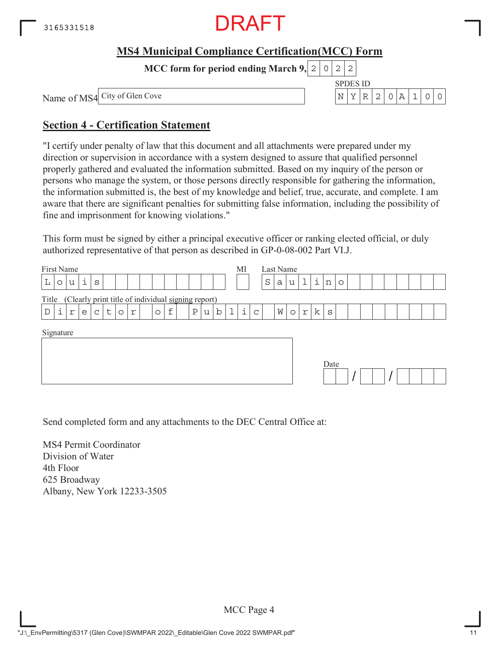

**MCC form for period ending March 9,**  $0|2|2$ 

SPDES ID Name of MS4 City of Glen Cove N YR 2 0A 1 00

#### **Section 4 - Certification Statement**

"I certify under penalty of law that this document and all attachments were prepared under my direction or supervision in accordance with a system designed to assure that qualified personnel properly gathered and evaluated the information submitted. Based on my inquiry of the person or persons who manage the system, or those persons directly responsible for gathering the information, the information submitted is, the best of my knowledge and belief, true, accurate, and complete. I am aware that there are significant penalties for submitting false information, including the possibility of fine and imprisonment for knowing violations."

This form must be signed by either a principal executive officer or ranking elected official, or duly authorized representative of that person as described in GP-0-08-002 Part VI.J.

| First Name                                                                                                        | MI<br>Last Name                                           |
|-------------------------------------------------------------------------------------------------------------------|-----------------------------------------------------------|
| i<br>L<br>S<br>u<br>$\circ$                                                                                       | i<br>$\mathbf 1$<br>S<br>u<br>а<br>n<br>$\circ$           |
| (Clearly print title of individual signing report)<br>Title                                                       |                                                           |
| i<br>$\epsilon$<br>$\mathbf b$<br>$\mathbb D$<br>Ρ<br>t<br>$\mathsf{C}$<br>r<br>u<br>e<br>r<br>$\circ$<br>$\circ$ | i<br>k<br>W<br>$\circ$<br>$\Upsilon$<br>S<br>$\mathsf{C}$ |
| Signature                                                                                                         | Date                                                      |

Send completed form and any attachments to the DEC Central Office at:

MS4 Permit Coordinator Division of Water 4th Floor 625 Broadway Albany, New York 12233-3505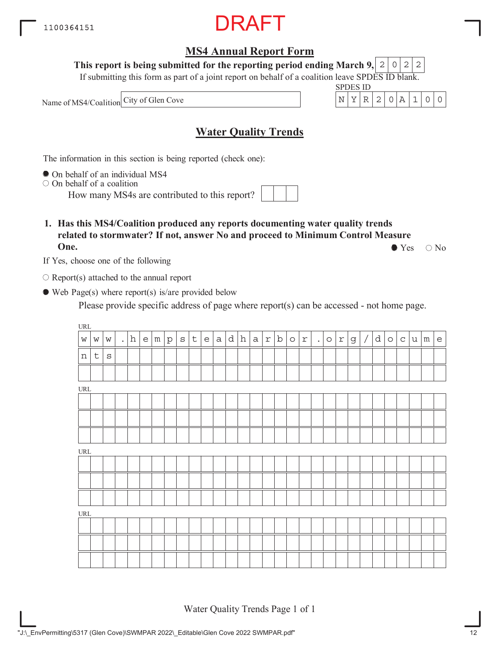#### **MS4 Annual Report Form**

**This report is being submitted for the reporting period ending March 9,**  $2|0|2|2$ 

If submitting this form as part of a joint report on behalf of a coalition leave SPDES ID blank.

SPDES ID

Name of MS4/Coalition City of Glen Cove  $N^2$  N  $\left\lfloor N \left| Y \right| R \right\rfloor 2$  | 0  $\left| A \left| 1 \right| 0 \right| 0$ 

#### **Water Quality Trends**

The information in this section is being reported (check one):

On behalf of an individual MS4

 $\circ$  On behalf of a coalition

How many MS4s are contributed to this report?

**1. Has this MS4/Coalition produced any reports documenting water quality trends related to stormwater? If not, answer No and proceed to Minimum Control Measure One.**  $\bullet$  Yes  $\circ$  No

If Yes, choose one of the following

 $\bigcirc$  Report(s) attached to the annual report

Web Page(s) where report(s) is/are provided below

Please provide specific address of page where report(s) can be accessed - not home page.

| $\ensuremath{\mathsf{URL}}\xspace$ |             |         |                           |       |                   |         |             |                                   |          |   |           |              |            |   |         |                         |           |         |                           |   |                          |   |         |             |   |                 |                                   |
|------------------------------------|-------------|---------|---------------------------|-------|-------------------|---------|-------------|-----------------------------------|----------|---|-----------|--------------|------------|---|---------|-------------------------|-----------|---------|---------------------------|---|--------------------------|---|---------|-------------|---|-----------------|-----------------------------------|
| $\mathsf{W}$                       | W           | W       | $\mathbb{Z}^{\mathbb{Z}}$ | $\,h$ | $e \mid m \mid p$ | $\rm S$ | $\mathsf t$ | $\mathsf{e}% _{t}\left( t\right)$ | $a \mid$ | d | ${\bf h}$ | $\mathsf{a}$ | $\Upsilon$ | b | $\circ$ | $\mathfrak{\textbf{L}}$ | $\bullet$ | $\circ$ | $\ensuremath{\mathbf{r}}$ | g | $\overline{\phantom{a}}$ | d | $\circ$ | $\mathsf C$ | u | ${\mathfrak m}$ | $\mathsf{e}% _{t}\left( t\right)$ |
| $\, {\rm n}$                       | $\mathsf t$ | $\rm S$ |                           |       |                   |         |             |                                   |          |   |           |              |            |   |         |                         |           |         |                           |   |                          |   |         |             |   |                 |                                   |
|                                    |             |         |                           |       |                   |         |             |                                   |          |   |           |              |            |   |         |                         |           |         |                           |   |                          |   |         |             |   |                 |                                   |
| $\ensuremath{\mathsf{URL}}\xspace$ |             |         |                           |       |                   |         |             |                                   |          |   |           |              |            |   |         |                         |           |         |                           |   |                          |   |         |             |   |                 |                                   |
|                                    |             |         |                           |       |                   |         |             |                                   |          |   |           |              |            |   |         |                         |           |         |                           |   |                          |   |         |             |   |                 |                                   |
|                                    |             |         |                           |       |                   |         |             |                                   |          |   |           |              |            |   |         |                         |           |         |                           |   |                          |   |         |             |   |                 |                                   |
|                                    |             |         |                           |       |                   |         |             |                                   |          |   |           |              |            |   |         |                         |           |         |                           |   |                          |   |         |             |   |                 |                                   |
| $\ensuremath{\mathsf{URL}}\xspace$ |             |         |                           |       |                   |         |             |                                   |          |   |           |              |            |   |         |                         |           |         |                           |   |                          |   |         |             |   |                 |                                   |
|                                    |             |         |                           |       |                   |         |             |                                   |          |   |           |              |            |   |         |                         |           |         |                           |   |                          |   |         |             |   |                 |                                   |
|                                    |             |         |                           |       |                   |         |             |                                   |          |   |           |              |            |   |         |                         |           |         |                           |   |                          |   |         |             |   |                 |                                   |
|                                    |             |         |                           |       |                   |         |             |                                   |          |   |           |              |            |   |         |                         |           |         |                           |   |                          |   |         |             |   |                 |                                   |
| $\ensuremath{\mathsf{URL}}\xspace$ |             |         |                           |       |                   |         |             |                                   |          |   |           |              |            |   |         |                         |           |         |                           |   |                          |   |         |             |   |                 |                                   |
|                                    |             |         |                           |       |                   |         |             |                                   |          |   |           |              |            |   |         |                         |           |         |                           |   |                          |   |         |             |   |                 |                                   |
|                                    |             |         |                           |       |                   |         |             |                                   |          |   |           |              |            |   |         |                         |           |         |                           |   |                          |   |         |             |   |                 |                                   |
|                                    |             |         |                           |       |                   |         |             |                                   |          |   |           |              |            |   |         |                         |           |         |                           |   |                          |   |         |             |   |                 |                                   |

Water Quality Trends Page 1 of 1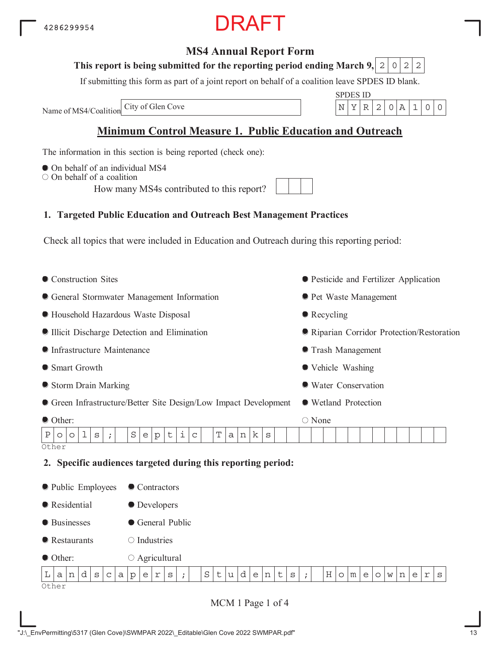"J:\\_EnvPermitting\5317 (Glen Cove)\SWMPAR 2022\\_Editable\Glen Cove 2022 SWMPAR.pdf"

### 4286299954

#### **MS4 Annual Report Form**

#### This report is being submitted for the reporting period ending March 9,  $\mid$  2  $\mid$  0  $\mid$  2  $\mid$  2

If submitting this form as part of a joint report on behalf of a coalition leave SPDES ID blank.

Name of MS4/Coalition

#### **Minimum Control Measure 1. Public Education and Outreach**

The information in this section is being reported (check one):

- $\bullet$  On behalf of an individual MS4
- $\bigcirc$  On behalf of a coalition

How many MS4s contributed to this report?

#### **1. Targeted Public Education and Outreach Best Management Practices**

Check all topics that were included in Education and Outreach during this reporting period:

• Construction Sites General Stormwater Management Information Household Hazardous Waste Disposal Illicit Discharge Detection and Elimination Infrastructure Maintenance ● Smart Growth Storm Drain Marking Green Infrastructure/Better Site Design/Low Impact Development Other: Pesticide and Fertilizer Application **• Pet Waste Management** • Recycling Riparian Corridor Protection/Restoration Trash Management Vehicle Washing Water Conservation Wetland Protection ○ None **Other 2. Specific audiences targeted during this reporting period:** • Public Employees **Residential** ● Businesses **•** Restaurants ● Other: ● Contractors **O** Developers General Public  $\bigcirc$  Industries Agricultural Other  $P|o|o|1|s|$ ; Septic Tanks  $\mathtt{L}\ \mathtt{|a|n|d|s|c|a|p|e|r|s|}$  ;  $\mathtt{|S|t|u|d|e|n|t|s|}$  ;  $\mathtt{|H|o|m|e|o|w|n|e|r|s}$ 

MCM 1 Page 1 of 4

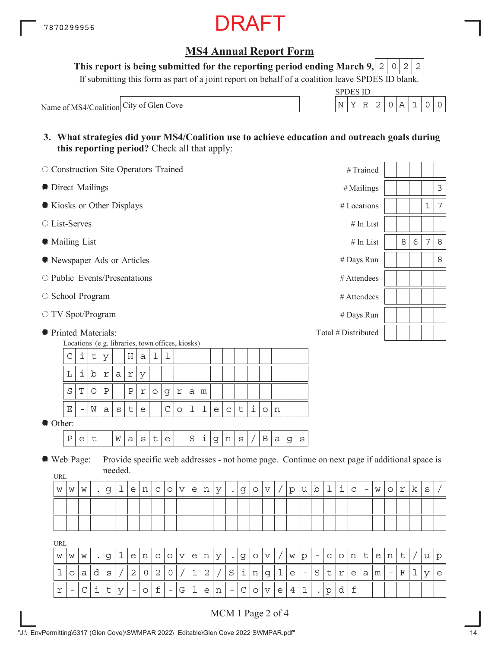#### **MS4 Annual Report Form**

This report is being submitted for the reporting period ending March 9,  $\mid 2 \mid 0 \mid 2 \mid 2$ 

If submitting this form as part of a joint report on behalf of a coalition leave SPDES ID blank.

Name of MS4/Coalition City of Glen Cove  $N = \begin{bmatrix} N & Y & R & 2 & 0 & A & 1 & 0 \end{bmatrix}$ 

| SPDES ID |  |  |  |  |
|----------|--|--|--|--|
|          |  |  |  |  |

**3. What strategies did your MS4/Coalition use to achieve education and outreach goals during this reporting period?** Check all that apply:

| O Construction Site Operators Trained       |                                                       |                                                   |            |              |         |                           |                                                                                              |              |                                   |                         |             |              |                           |                   |             |                    |              |              |         |                          |                          |             |   | #Trained            |                          |   |                          |             |            |         |              |
|---------------------------------------------|-------------------------------------------------------|---------------------------------------------------|------------|--------------|---------|---------------------------|----------------------------------------------------------------------------------------------|--------------|-----------------------------------|-------------------------|-------------|--------------|---------------------------|-------------------|-------------|--------------------|--------------|--------------|---------|--------------------------|--------------------------|-------------|---|---------------------|--------------------------|---|--------------------------|-------------|------------|---------|--------------|
| <b>O</b> Direct Mailings                    |                                                       |                                                   |            |              |         |                           |                                                                                              |              |                                   |                         |             |              |                           |                   |             |                    |              |              |         |                          |                          |             |   | #Mailings           |                          |   |                          |             |            |         | $\mathsf 3$  |
| Kiosks or Other Displays                    |                                                       |                                                   |            |              |         |                           |                                                                                              |              |                                   |                         |             |              |                           |                   |             |                    |              |              |         |                          |                          |             |   | # Locations         |                          |   |                          |             |            | 1       | $\sqrt{ }$   |
| ○ List-Serves                               |                                                       |                                                   |            |              |         |                           |                                                                                              |              |                                   |                         |             |              |                           |                   |             |                    |              |              |         |                          |                          |             |   |                     | $\#$ In List             |   |                          |             |            |         |              |
| • Mailing List                              |                                                       |                                                   |            |              |         |                           |                                                                                              |              |                                   |                         |             |              |                           |                   |             |                    |              |              |         |                          |                          |             |   |                     | # In List                |   |                          | 8           | $\epsilon$ | 7       | 8            |
| lacktriangleright Newspaper Ads or Articles |                                                       |                                                   |            |              |         |                           |                                                                                              |              |                                   |                         |             |              |                           |                   |             |                    |              |              |         |                          |                          |             |   | # Days Run          |                          |   |                          |             |            |         | $\,8\,$      |
| ○ Public Events/Presentations               |                                                       |                                                   |            |              |         |                           |                                                                                              |              |                                   |                         |             |              |                           |                   |             |                    |              |              |         |                          |                          |             |   | # Attendees         |                          |   |                          |             |            |         |              |
| ○ School Program                            |                                                       |                                                   |            |              |         |                           |                                                                                              |              |                                   |                         |             |              |                           |                   |             |                    |              |              |         |                          |                          |             |   | # Attendees         |                          |   |                          |             |            |         |              |
| O TV Spot/Program                           |                                                       |                                                   |            |              |         |                           |                                                                                              |              |                                   |                         |             |              |                           |                   |             |                    |              |              |         |                          |                          |             |   | # Days Run          |                          |   |                          |             |            |         |              |
| <b>•</b> Printed Materials:                 |                                                       |                                                   |            |              |         |                           |                                                                                              |              |                                   |                         |             |              |                           |                   |             |                    |              |              |         |                          |                          |             |   | Total # Distributed |                          |   |                          |             |            |         |              |
|                                             | Locations (e.g. libraries, town offices, kiosks)<br>C | i                                                 | t          | У            |         | Η                         | а                                                                                            | 1            | 1                                 |                         |             |              |                           |                   |             |                    |              |              |         |                          |                          |             |   |                     |                          |   |                          |             |            |         |              |
|                                             | L                                                     | i                                                 | b          | $\Upsilon$   | a       | $\Upsilon$                | У                                                                                            |              |                                   |                         |             |              |                           |                   |             |                    |              |              |         |                          |                          |             |   |                     |                          |   |                          |             |            |         |              |
|                                             | S                                                     | $\mathbf T$                                       | $\bigcirc$ | $\, {\bf P}$ |         | $\, {\bf P}$              | $\mathfrak{\underline{r}}$                                                                   | $\circ$      | g                                 | $\mathfrak{\textbf{L}}$ | а           | m            |                           |                   |             |                    |              |              |         |                          |                          |             |   |                     |                          |   |                          |             |            |         |              |
|                                             | Ε                                                     | $\qquad \qquad -$                                 | W          | a            | $\rm s$ | t                         | e                                                                                            |              | $\mathsf C$                       | O                       | 1           | 1            | $\mathop{\rm e}\nolimits$ | $\mathsf C$       | $\mathsf t$ | $\dot{\mathtt{l}}$ | $\circ$      | n            |         |                          |                          |             |   |                     |                          |   |                          |             |            |         |              |
| Other:                                      |                                                       |                                                   |            |              |         |                           |                                                                                              |              |                                   |                         |             |              |                           |                   |             |                    |              |              |         |                          |                          |             |   |                     |                          |   |                          |             |            |         |              |
|                                             | $\, {\bf P}$                                          | $\mathsf{e}% _{t}\!\left( \mathcal{A}_{t}\right)$ | $\sf t$    |              | W       | a                         | $\mathtt{s}$                                                                                 | $\mathsf t$  | $\mathsf{e}% _{t}\left( t\right)$ |                         | $\rm S$     | i            | g                         | n                 | $\rm s$     |                    | $\, {\bf B}$ | $\mathsf{a}$ | g       | $\rm s$                  |                          |             |   |                     |                          |   |                          |             |            |         |              |
| ● Web Page:                                 |                                                       |                                                   |            |              | needed. |                           | Provide specific web addresses - not home page. Continue on next page if additional space is |              |                                   |                         |             |              |                           |                   |             |                    |              |              |         |                          |                          |             |   |                     |                          |   |                          |             |            |         |              |
| URL<br>W                                    | W                                                     | W                                                 |            | g            | ı       | $\mathop{\rm e}\nolimits$ | n                                                                                            | $\mathbf C$  | $\circ$                           | $\boldsymbol{\nabla}$   | e           | n            | У                         | $\bullet$         | g           | $\circ$            | V            |              | $\rm p$ | u                        | b                        | 1           | i | $\mathtt{C}$        | $\overline{\phantom{a}}$ | W | $\circ$                  | $\Upsilon$  | k          | $\rm S$ |              |
|                                             |                                                       |                                                   |            |              |         |                           |                                                                                              |              |                                   |                         |             |              |                           |                   |             |                    |              |              |         |                          |                          |             |   |                     |                          |   |                          |             |            |         |              |
|                                             |                                                       |                                                   |            |              |         |                           |                                                                                              |              |                                   |                         |             |              |                           |                   |             |                    |              |              |         |                          |                          |             |   |                     |                          |   |                          |             |            |         |              |
| <b>URL</b>                                  |                                                       |                                                   |            |              |         |                           |                                                                                              |              |                                   |                         |             |              |                           |                   |             |                    |              |              |         |                          |                          |             |   |                     |                          |   |                          |             |            |         |              |
| W                                           | W                                                     | W                                                 |            | g            | 1       | e                         | n                                                                                            | $\mathsf C$  | $\circ$                           | V                       | e           | n            | У                         | $\bullet$         | g           | $\circ$            | V            |              | W       | p                        | $\overline{\phantom{a}}$ | $\mathsf C$ | O | n                   | $\mathsf{t}$             | e | n                        | $\mathsf t$ |            | u       | $\mathbf{p}$ |
| 1                                           | $\circ$                                               | а                                                 | d          | S            |         | $\mathbf{2}$              | 0                                                                                            | $\mathbf{2}$ | 0                                 |                         | $\mathbf 1$ | $\mathbf{2}$ |                           | $\rm S$           | i           | n                  | g            | 1            | e       | $\overline{\phantom{a}}$ | $\rm S$                  | t           | r | е                   | а                        | m | $\overline{\phantom{a}}$ | F           | 1          | У       | $\mathsf{e}$ |
| r                                           | $\overline{\phantom{a}}$                              | $\mathsf C$                                       | i          | t            | У       | -                         | $\circ$                                                                                      | f            | $-$                               | G                       | 1           | e            | n                         | $\qquad \qquad -$ | C           | O                  | V            | е            | 4       | 1                        |                          | p           | d | $\mathbf f$         |                          |   |                          |             |            |         |              |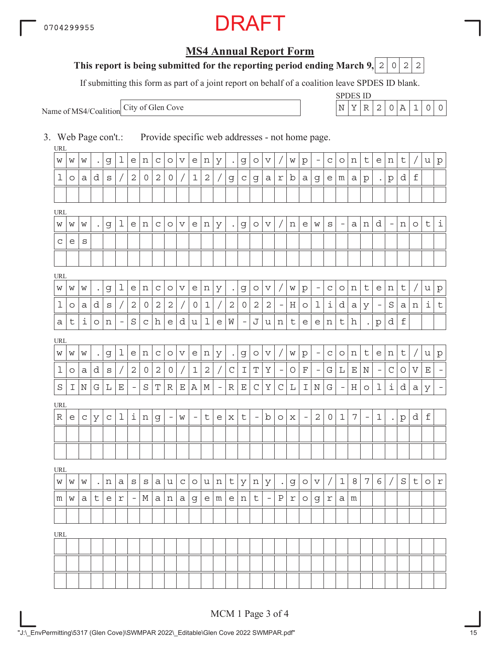### RAFT

#### **MS4 Annual Report Form**

#### **This report is being submitted for the reporting period ending March 9, 2 0 2 2**

If submitting this form as part of a joint report on behalf of a coalition leave SPDES ID blank.

Name of MS4/Coalition

SPDES ID City of Glen Cove N YR 2 0A 1 00

3. Web Page con't.: Provide specific web addresses - not home page.

| URL     |         |   |           |             |                   |                          |                     |                |                          |                       |             |             |                   |               |                   |                          |                       |                          |   |                          |                                 |                     |                          |         |                          |                          |                          |             |                       |                     |             |
|---------|---------|---|-----------|-------------|-------------------|--------------------------|---------------------|----------------|--------------------------|-----------------------|-------------|-------------|-------------------|---------------|-------------------|--------------------------|-----------------------|--------------------------|---|--------------------------|---------------------------------|---------------------|--------------------------|---------|--------------------------|--------------------------|--------------------------|-------------|-----------------------|---------------------|-------------|
| W       | W       | W | $\bullet$ | g           | 1                 | е                        | n                   | С              | $\circ$                  | V                     | e           | n           | У                 | $\bullet$     | g                 | O                        | V                     |                          | W | р                        | $\overline{\phantom{0}}$        | С                   | O                        | n       | t                        | e                        | n                        | t           |                       | u                   | $\rm p$     |
| 1       | O       | а | d         | S           |                   | $\mathbf{2}$             | 0                   | $\overline{2}$ | $\mathbf 0$              |                       | $\mathbf 1$ | $\sqrt{2}$  |                   | g             | $\mathsf C$       | g                        | а                     | r                        | b | а                        | g                               | e                   | m                        | а       | $\mathbf{p}$             | $\bullet$                | $\mathbf{p}$             | d           | $\mathbf f$           |                     |             |
|         |         |   |           |             |                   |                          |                     |                |                          |                       |             |             |                   |               |                   |                          |                       |                          |   |                          |                                 |                     |                          |         |                          |                          |                          |             |                       |                     |             |
| URL     |         |   |           |             |                   |                          |                     |                |                          |                       |             |             |                   |               |                   |                          |                       |                          |   |                          |                                 |                     |                          |         |                          |                          |                          |             |                       |                     |             |
| W       | W       | W |           | g           | 1                 | e                        | n                   | C              | $\circ$                  | $\boldsymbol{\nabla}$ | e           | n           | У                 | $\bullet$     | g                 | $\circ$                  | $\boldsymbol{\nabla}$ |                          | n | e                        | W                               | S                   | $\qquad \qquad -$        | a       | n                        | d                        | $\overline{\phantom{a}}$ | n           | $\circ$               | $\mathsf t$         | $\dot{1}$   |
| C       | е       | S |           |             |                   |                          |                     |                |                          |                       |             |             |                   |               |                   |                          |                       |                          |   |                          |                                 |                     |                          |         |                          |                          |                          |             |                       |                     |             |
|         |         |   |           |             |                   |                          |                     |                |                          |                       |             |             |                   |               |                   |                          |                       |                          |   |                          |                                 |                     |                          |         |                          |                          |                          |             |                       |                     |             |
| URL     |         |   |           |             |                   |                          |                     |                |                          |                       |             |             |                   |               |                   |                          |                       |                          |   |                          |                                 |                     |                          |         |                          |                          |                          |             |                       |                     |             |
| W       | W       | W |           | g           | 1                 | е                        | n                   | C              | $\circ$                  | $\boldsymbol{\nabla}$ | e           | n           | У                 | $\bullet$     | g                 | $\circ$                  | V                     |                          | W | р                        | $\overline{\phantom{a}}$        | $\mathsf C$         | O                        | n       | $\mathsf t$              | e                        | n                        | t           |                       | u                   | $\rm p$     |
| 1       | $\circ$ | а | d         | S           |                   | 2                        | 0                   | $\mathbf{2}$   | $\mathbf{2}$             |                       | 0           | $\mathbf 1$ |                   | $\mathbf{2}$  | $\overline{0}$    | $\mathbf{2}$             | $\mathbf{2}$          | $\overline{\phantom{a}}$ | Η | $\circ$                  | 1                               | i                   | d                        | а       | У                        | $\overline{\phantom{a}}$ | S                        | а           | n                     | i                   | $\,$ t      |
| а       | t       | i | O         | n           | $\qquad \qquad -$ | $\rm S$                  | $\mathsf C$         | h              | e                        | d                     | u           | 1           | е                 | W             | $\qquad \qquad -$ | J                        | u                     | n                        | t | e                        | е                               | n                   | t                        | h       |                          | $\rm p$                  | d                        | $\mathbf f$ |                       |                     |             |
| URL     |         |   |           |             |                   |                          |                     |                |                          |                       |             |             |                   |               |                   |                          |                       |                          |   |                          |                                 |                     |                          |         |                          |                          |                          |             |                       |                     |             |
| W       | W       | W | $\bullet$ | g           | 1                 | e                        | n                   | C              | $\circ$                  | V                     | e           | n           | У                 | $\bullet$     | g                 | $\circ$                  | V                     |                          | W | $\rm p$                  | $\hspace{0.1mm}-\hspace{0.1mm}$ | $\mathsf C$         | $\circ$                  | n       | t                        | $\epsilon$               | n                        | t           | $\prime$              | u                   | $\mathbf p$ |
| 1       | O       | а | d         | S           |                   | $\mathbf 2$              | $\mathsf{O}\xspace$ | $\mathbf{2}$   | $\mathbf 0$              |                       | $\mathbf 1$ | $\sqrt{2}$  |                   | $\mathsf C$   | I                 | T                        | Υ                     | $\qquad \qquad -$        | O | $\mathbf F$              | $\overline{\phantom{a}}$        | G                   | L                        | Ε       | $\mathbf N$              | $\overline{\phantom{a}}$ | $\mathsf C$              | O           | $\boldsymbol{\nabla}$ | $\mathbf E$         |             |
| $\rm S$ | Ι       | Ν | G         | L           | $\mathbf E$       | $\overline{\phantom{a}}$ | $\rm S$             | T              | R                        | $\mathbf E$           | Α           | М           | $\qquad \qquad -$ | ${\mathbb R}$ | $\mathbf E$       | $\mathsf C$              | Υ                     | $\mathsf C$              | L | Ι                        | $\rm N$                         | G                   | $\overline{\phantom{a}}$ | $\rm H$ | $\circ$                  | ı                        | i                        | d           | а                     | У                   |             |
| URL     |         |   |           |             |                   |                          |                     |                |                          |                       |             |             |                   |               |                   |                          |                       |                          |   |                          |                                 |                     |                          |         |                          |                          |                          |             |                       |                     |             |
| R       | е       | C | У         | $\mathsf C$ | 1                 | i                        | n                   | g              | $\overline{\phantom{a}}$ | W                     | -           | t           | e                 | $\mathbf x$   | t                 | $\overline{\phantom{a}}$ | b                     | $\circ$                  | X | $\overline{\phantom{a}}$ | $\overline{2}$                  | $\mathsf{O}\xspace$ | $\mathbf 1$              | 7       | $\overline{\phantom{a}}$ | $\mathbf 1$              | $\ddot{\phantom{a}}$     | $\rm p$     | d                     | $\mathbf f$         |             |
|         |         |   |           |             |                   |                          |                     |                |                          |                       |             |             |                   |               |                   |                          |                       |                          |   |                          |                                 |                     |                          |         |                          |                          |                          |             |                       |                     |             |
|         |         |   |           |             |                   |                          |                     |                |                          |                       |             |             |                   |               |                   |                          |                       |                          |   |                          |                                 |                     |                          |         |                          |                          |                          |             |                       |                     |             |
| URL     |         |   |           |             |                   |                          |                     |                |                          |                       |             |             |                   |               |                   |                          |                       |                          |   |                          |                                 |                     |                          |         |                          |                          |                          |             |                       |                     |             |
| W       | W       | W | $\bullet$ | n           | а                 | S                        | $\rm s$             | а              | u                        | C                     | $\circ$     | u           | n                 | t             | У                 | n                        | У                     | $\bullet$                | g | $\circ$                  | $\boldsymbol{\mathrm{V}}$       |                     | $1\,$                    | 8       | 7                        | 6                        |                          | S           | t                     | $\circlearrowright$ | $\mathbf r$ |
| m       | W       | а | t         | е           | r                 |                          | М                   | а              | n                        | а                     | g           | е           | m                 | е             | n                 | t                        | $\qquad \qquad -$     | Ρ                        | r | O                        | g                               | r                   | а                        | m       |                          |                          |                          |             |                       |                     |             |
|         |         |   |           |             |                   |                          |                     |                |                          |                       |             |             |                   |               |                   |                          |                       |                          |   |                          |                                 |                     |                          |         |                          |                          |                          |             |                       |                     |             |
| URL     |         |   |           |             |                   |                          |                     |                |                          |                       |             |             |                   |               |                   |                          |                       |                          |   |                          |                                 |                     |                          |         |                          |                          |                          |             |                       |                     |             |
|         |         |   |           |             |                   |                          |                     |                |                          |                       |             |             |                   |               |                   |                          |                       |                          |   |                          |                                 |                     |                          |         |                          |                          |                          |             |                       |                     |             |
|         |         |   |           |             |                   |                          |                     |                |                          |                       |             |             |                   |               |                   |                          |                       |                          |   |                          |                                 |                     |                          |         |                          |                          |                          |             |                       |                     |             |
|         |         |   |           |             |                   |                          |                     |                |                          |                       |             |             |                   |               |                   |                          |                       |                          |   |                          |                                 |                     |                          |         |                          |                          |                          |             |                       |                     |             |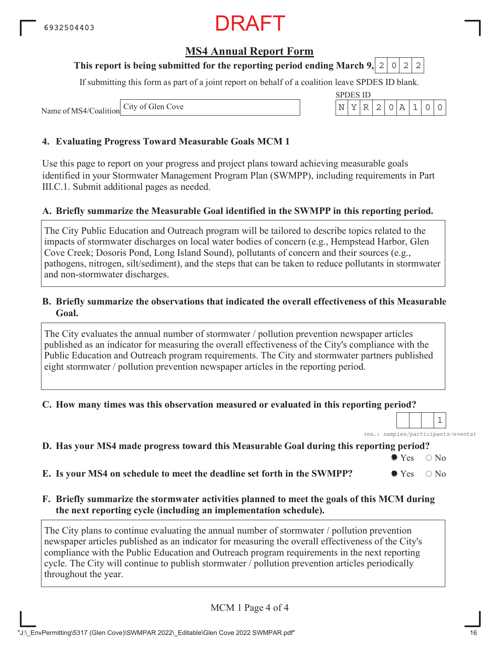#### **MS4 Annual Report Form**

#### **This report is being submitted for the reporting period ending March 9, 2 0 2 2**

If submitting this form as part of a joint report on behalf of a coalition leave SPDES ID blank.

Name of MS4/Coalition City of Glen Cove

#### **4. Evaluating Progress Toward Measurable Goals MCM 1**

Use this page to report on your progress and project plans toward achieving measurable goals identified in your Stormwater Management Program Plan (SWMPP), including requirements in Part III.C.1. Submit additional pages as needed.

#### **A. Briefly summarize the Measurable Goal identified in the SWMPP in this reporting period.**

The City Public Education and Outreach program will be tailored to describe topics related to the impacts of stormwater discharges on local water bodies of concern (e.g., Hempstead Harbor, Glen Cove Creek; Dosoris Pond, Long Island Sound), pollutants of concern and their sources (e.g., pathogens, nitrogen, silt/sediment), and the steps that can be taken to reduce pollutants in stormwater and non-stormwater discharges.

#### **B. Briefly summarize the observations that indicated the overall effectiveness of this Measurable Goal.**

The City evaluates the annual number of stormwater / pollution prevention newspaper articles published as an indicator for measuring the overall effectiveness of the City's compliance with the Public Education and Outreach program requirements. The City and stormwater partners published eight stormwater / pollution prevention newspaper articles in the reporting period.

#### **C. How many times was this observation measured or evaluated in this reporting period?**

*(ex.: samples/participants/events)* 1

#### **D. Has your MS4 made progress toward this Measurable Goal during this reporting period?**

 $\bullet$  Yes  $\circ$  No

**E.** Is your MS4 on schedule to meet the deadline set forth in the SWMPP?  $\bullet$  Yes  $\circ$  No

**F. Briefly summarize the stormwater activities planned to meet the goals of this MCM during the next reporting cycle (including an implementation schedule).**

The City plans to continue evaluating the annual number of stormwater / pollution prevention newspaper articles published as an indicator for measuring the overall effectiveness of the City's compliance with the Public Education and Outreach program requirements in the next reporting cycle. The City will continue to publish stormwater / pollution prevention articles periodically throughout the year.

MCM 1 Page 4 of 4

| SPDES ID. |  |  |  |  |
|-----------|--|--|--|--|
|           |  |  |  |  |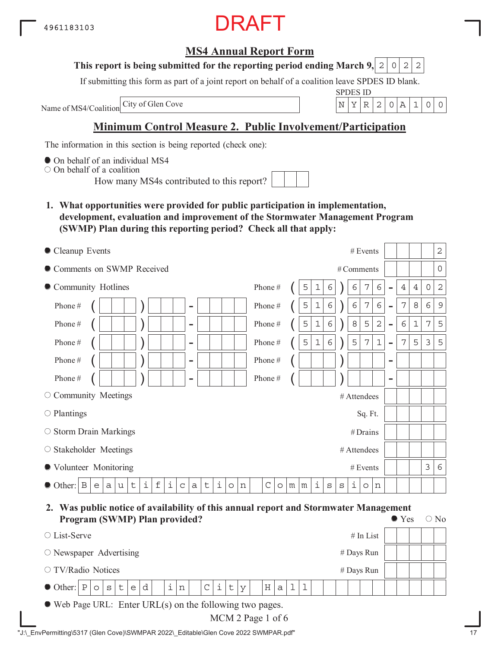### RAFT

#### **MS4 Annual Report Form**

#### **This report is being submitted for the reporting period ending March 9, 2 0 2 2**

If submitting this form as part of a joint report on behalf of a coalition leave SPDES ID blank.

Name of MS4/Coalition

SPDES ID City of Glen Cove N YR 2 0A 1 00

#### **Minimum Control Measure 2. Public Involvement/Participation**

The information in this section is being reported (check one):

 $\bullet$  On behalf of an individual MS4

On behalf of a coalition

How many MS4s contributed to this report?

**1. What opportunities were provided for public participation in implementation, development, evaluation and improvement of the Stormwater Management Program (SWMP) Plan during this reporting period? Check all that apply:**

| • Cleanup Events                                                                                                              | $\sqrt{2}$<br># Events                                                                                                                   |
|-------------------------------------------------------------------------------------------------------------------------------|------------------------------------------------------------------------------------------------------------------------------------------|
| Comments on SWMP Received                                                                                                     | $\overline{0}$<br># Comments                                                                                                             |
| • Community Hotlines                                                                                                          | 6<br>$\overline{2}$<br>Phone#<br>7<br>5<br>6<br>$\ensuremath{4}$<br>$\overline{4}$<br>$\mathsf{O}$<br>1<br>6<br>$\overline{a}$           |
| Phone#<br>$\overline{\phantom{a}}$                                                                                            | $\epsilon$<br>$\epsilon$<br>$\epsilon$<br>7<br>7<br>$\,8\,$<br>$\epsilon$<br>9<br>Phone#<br>5<br>$\mathbf 1$<br>$\overline{\phantom{m}}$ |
| Phone#<br>$\overline{\phantom{a}}$                                                                                            | $\epsilon$<br>$\,8\,$<br>5<br>$\mathbf{2}$<br>6<br>$\mathbf 1$<br>7<br>5<br>5<br>Phone#<br>$\mathbf 1$<br>$\overline{\phantom{0}}$       |
| Phone#<br>$\overline{\phantom{a}}$                                                                                            | $\epsilon$<br>5<br>5<br>7<br>$1\,$<br>7<br>5<br>3<br>5<br>$1\,$<br>Phone#<br>$\overline{\phantom{0}}$                                    |
| Phone#<br>$\overline{\phantom{a}}$                                                                                            | Phone#<br>$\qquad \qquad \blacksquare$                                                                                                   |
| Phone#<br>$\overline{\phantom{0}}$                                                                                            | Phone#<br>$\qquad \qquad$                                                                                                                |
| $\circ$ Community Meetings                                                                                                    | # Attendees                                                                                                                              |
| $\circ$ Plantings                                                                                                             | Sq. Ft.                                                                                                                                  |
| ○ Storm Drain Markings                                                                                                        | #Drains                                                                                                                                  |
| $\circ$ Stakeholder Meetings                                                                                                  | # Attendees                                                                                                                              |
| ● Volunteer Monitoring                                                                                                        | 3<br># Events<br>6                                                                                                                       |
| i<br>i<br>$\mathbf f$<br>i<br>t<br>$\mathsf t$<br>B<br>$\mathsf C$<br>O Other:<br>$\mathsf{a}$<br>a<br>e<br>u<br>$\circ$<br>n | i<br>i<br>$\mathcal{C}$<br>S<br>$\mathtt{s}$<br>m<br>m<br>$\circ$<br>n<br>$\circ$                                                        |

**2. Was public notice of availability of this annual report and Stormwater Management Program (SWMP) Plan provided?**  $\bullet$  Yes  $\circ$  No

| $\circ$ List-Serve                                                             |                                                        |  |  |  |  |   |  |  |     |  |              |   |              |        |  |     |              |  |  | $#$ In List |  |  |  |  |
|--------------------------------------------------------------------------------|--------------------------------------------------------|--|--|--|--|---|--|--|-----|--|--------------|---|--------------|--------|--|-----|--------------|--|--|-------------|--|--|--|--|
| $\circ$ Newspaper Advertising                                                  |                                                        |  |  |  |  |   |  |  |     |  |              |   |              |        |  |     |              |  |  |             |  |  |  |  |
|                                                                                | # Days Run<br>$\circ$ TV/Radio Notices<br>$#$ Days Run |  |  |  |  |   |  |  |     |  |              |   |              |        |  |     |              |  |  |             |  |  |  |  |
| $\bullet$ Other: $\lvert P \rvert \circ \lvert s \rvert \cdot \lvert e \rvert$ |                                                        |  |  |  |  | d |  |  | i n |  | $\mathsf{C}$ | i | $\mathsf{t}$ | $\vee$ |  | H a | $\mathbf{1}$ |  |  |             |  |  |  |  |
| $\bullet$ Web Page URL: Enter URL(s) on the following two pages.               |                                                        |  |  |  |  |   |  |  |     |  |              |   |              |        |  |     |              |  |  |             |  |  |  |  |

MCM 2 Page 1 of 6

"J:\\_EnvPermitting\5317 (Glen Cove)\SWMPAR 2022\\_Editable\Glen Cove 2022 SWMPAR.pdf" 17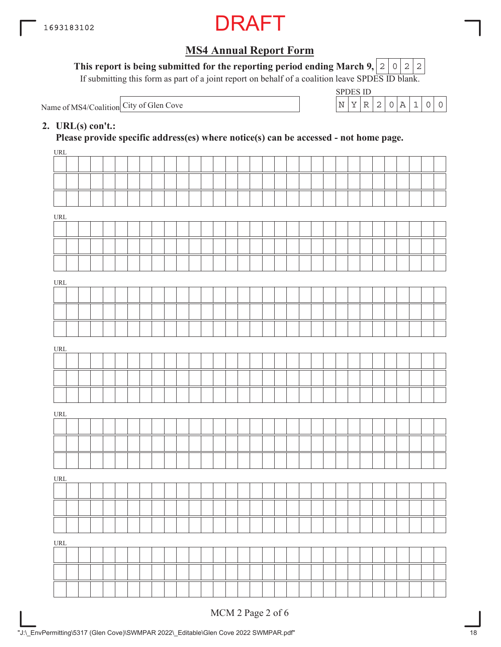

This report is being submitted for the reporting period ending March 9,  $|2|0|2|2$ 

If submitting this form as part of a joint report on behalf of a coalition leave SPDES ID blank.

Name of MS4/Coalition City of Glen Cove  $N^2$  N  $\left\lfloor N \left| Y \right| R \right\rfloor 2$  | 0  $\left| A \left| 1 \right| 0 \right| 0$ 

| SPDES ID |  |  |  |  |
|----------|--|--|--|--|
|          |  |  |  |  |

#### **2. URL(s) con't.:**

**Please provide specific address(es) where notice(s) can be accessed - not home page.**

| URL                                |  |  |  |  |  |  |  |  |  |  |  |  |  |  |  |  |
|------------------------------------|--|--|--|--|--|--|--|--|--|--|--|--|--|--|--|--|
|                                    |  |  |  |  |  |  |  |  |  |  |  |  |  |  |  |  |
|                                    |  |  |  |  |  |  |  |  |  |  |  |  |  |  |  |  |
|                                    |  |  |  |  |  |  |  |  |  |  |  |  |  |  |  |  |
| URL                                |  |  |  |  |  |  |  |  |  |  |  |  |  |  |  |  |
|                                    |  |  |  |  |  |  |  |  |  |  |  |  |  |  |  |  |
|                                    |  |  |  |  |  |  |  |  |  |  |  |  |  |  |  |  |
|                                    |  |  |  |  |  |  |  |  |  |  |  |  |  |  |  |  |
| URL                                |  |  |  |  |  |  |  |  |  |  |  |  |  |  |  |  |
|                                    |  |  |  |  |  |  |  |  |  |  |  |  |  |  |  |  |
|                                    |  |  |  |  |  |  |  |  |  |  |  |  |  |  |  |  |
|                                    |  |  |  |  |  |  |  |  |  |  |  |  |  |  |  |  |
|                                    |  |  |  |  |  |  |  |  |  |  |  |  |  |  |  |  |
| URL                                |  |  |  |  |  |  |  |  |  |  |  |  |  |  |  |  |
|                                    |  |  |  |  |  |  |  |  |  |  |  |  |  |  |  |  |
|                                    |  |  |  |  |  |  |  |  |  |  |  |  |  |  |  |  |
|                                    |  |  |  |  |  |  |  |  |  |  |  |  |  |  |  |  |
| $\ensuremath{\mathsf{URL}}\xspace$ |  |  |  |  |  |  |  |  |  |  |  |  |  |  |  |  |
|                                    |  |  |  |  |  |  |  |  |  |  |  |  |  |  |  |  |
|                                    |  |  |  |  |  |  |  |  |  |  |  |  |  |  |  |  |
|                                    |  |  |  |  |  |  |  |  |  |  |  |  |  |  |  |  |
| URL                                |  |  |  |  |  |  |  |  |  |  |  |  |  |  |  |  |
|                                    |  |  |  |  |  |  |  |  |  |  |  |  |  |  |  |  |
|                                    |  |  |  |  |  |  |  |  |  |  |  |  |  |  |  |  |
|                                    |  |  |  |  |  |  |  |  |  |  |  |  |  |  |  |  |
| URL                                |  |  |  |  |  |  |  |  |  |  |  |  |  |  |  |  |
|                                    |  |  |  |  |  |  |  |  |  |  |  |  |  |  |  |  |
|                                    |  |  |  |  |  |  |  |  |  |  |  |  |  |  |  |  |
|                                    |  |  |  |  |  |  |  |  |  |  |  |  |  |  |  |  |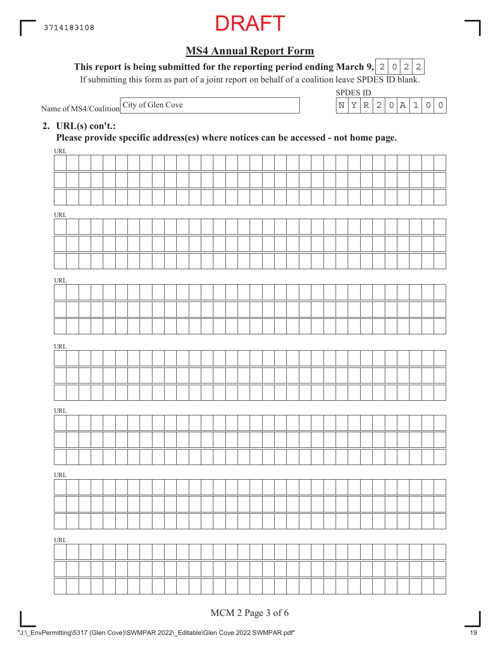

This report is being submitted for the reporting period ending March 9,  $|2|0|2|2$ 

If submitting this form as part of a joint report on behalf of a coalition leave SPDES ID blank.

Name of MS4/Coalition City of Glen Cove

| SPDES ID |   |                    |                  |  |  |
|----------|---|--------------------|------------------|--|--|
|          | ₽ | $\left  2 \right $ | $\left( \right)$ |  |  |

#### **2. URL(s) con't.:**

**Please provide specific address(es) where notices can be accessed - not home page.**

| URL                              |  |  |  |  |  |  |  |  |  |  |  |  |  |  |  |  |
|----------------------------------|--|--|--|--|--|--|--|--|--|--|--|--|--|--|--|--|
|                                  |  |  |  |  |  |  |  |  |  |  |  |  |  |  |  |  |
|                                  |  |  |  |  |  |  |  |  |  |  |  |  |  |  |  |  |
|                                  |  |  |  |  |  |  |  |  |  |  |  |  |  |  |  |  |
| URL                              |  |  |  |  |  |  |  |  |  |  |  |  |  |  |  |  |
|                                  |  |  |  |  |  |  |  |  |  |  |  |  |  |  |  |  |
|                                  |  |  |  |  |  |  |  |  |  |  |  |  |  |  |  |  |
|                                  |  |  |  |  |  |  |  |  |  |  |  |  |  |  |  |  |
|                                  |  |  |  |  |  |  |  |  |  |  |  |  |  |  |  |  |
| URL                              |  |  |  |  |  |  |  |  |  |  |  |  |  |  |  |  |
|                                  |  |  |  |  |  |  |  |  |  |  |  |  |  |  |  |  |
|                                  |  |  |  |  |  |  |  |  |  |  |  |  |  |  |  |  |
|                                  |  |  |  |  |  |  |  |  |  |  |  |  |  |  |  |  |
| URL                              |  |  |  |  |  |  |  |  |  |  |  |  |  |  |  |  |
|                                  |  |  |  |  |  |  |  |  |  |  |  |  |  |  |  |  |
|                                  |  |  |  |  |  |  |  |  |  |  |  |  |  |  |  |  |
|                                  |  |  |  |  |  |  |  |  |  |  |  |  |  |  |  |  |
|                                  |  |  |  |  |  |  |  |  |  |  |  |  |  |  |  |  |
| URL                              |  |  |  |  |  |  |  |  |  |  |  |  |  |  |  |  |
|                                  |  |  |  |  |  |  |  |  |  |  |  |  |  |  |  |  |
|                                  |  |  |  |  |  |  |  |  |  |  |  |  |  |  |  |  |
|                                  |  |  |  |  |  |  |  |  |  |  |  |  |  |  |  |  |
| $\ensuremath{\text{URL}}\xspace$ |  |  |  |  |  |  |  |  |  |  |  |  |  |  |  |  |
|                                  |  |  |  |  |  |  |  |  |  |  |  |  |  |  |  |  |
|                                  |  |  |  |  |  |  |  |  |  |  |  |  |  |  |  |  |
|                                  |  |  |  |  |  |  |  |  |  |  |  |  |  |  |  |  |
| $\underline{\text{URL}}$         |  |  |  |  |  |  |  |  |  |  |  |  |  |  |  |  |
|                                  |  |  |  |  |  |  |  |  |  |  |  |  |  |  |  |  |
|                                  |  |  |  |  |  |  |  |  |  |  |  |  |  |  |  |  |
|                                  |  |  |  |  |  |  |  |  |  |  |  |  |  |  |  |  |
|                                  |  |  |  |  |  |  |  |  |  |  |  |  |  |  |  |  |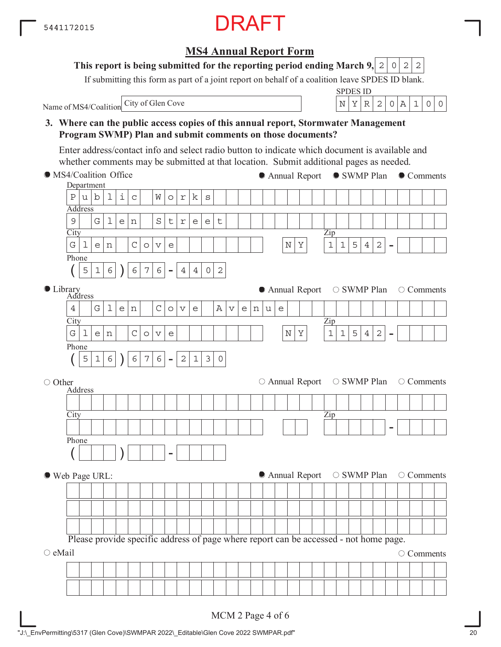#### **3. Where can the public access copies of this annual report, Stormwater Management Program SWMP) Plan and submit comments on those documents? City** Department Address Zip - Phone  $($  | 5 | 1 | 6 |  $)$  | 6 | 7 | 6 | -**City** Address Library Zip - Phone  $($  | 5 | 1 | 6 |  $)$  | 6 | 7 | 6 | -**City** Address Zip - Phone ( ) - MS4/Coalition Office ○ Other Web Page URL:  $\circ$  eMail Name of MS4/Coalition Please provide specific address of page where report can be accessed - not home page. ● Annual Report ● SWMP Plan ● Comments  $\bullet$  Annual Report  $\circ$  SWMP Plan  $\circ$  Comments  $\circ$  Annual Report  $\circ$  SWMP Plan  $\circ$  Comments  $\bullet$  Annual Report  $\circ$  SWMP Plan  $\circ$  Comments O Comments Enter address/contact info and select radio button to indicate which document is available and whether comments may be submitted at that location. Submit additional pages as needed.  $P|u|b|1|i|c|$  Works  $9$  Gllen Street G|1|e|n| |C|o|v|e| | | | | | | | | |N|Y| |1|1|5|4|2  $5|1|6|$   $|6|7|6|-|4|4|0|2$  $4$  Glen Cove Avenue G|1|e|n| |C|o|v|e| | | | | | | | | |N|Y| |1|1|5|4|2  $5|1|6$  )  $|6|7|6$  -  $|2|1|3|0$

#### **MS4 Annual Report Form This report is being submitted for the reporting period ending March 9, 2 0 2 2**

If submitting this form as part of a joint report on behalf of a coalition leave SPDES ID blank.

### City of Glen Cove  $\begin{array}{c|c|c|c|c|c|c|c|c} & & & N & Y & R & 2 & 0 & A & 1 & 0 & 0 \end{array}$

SPDES ID

MCM 2 Page 4 of 6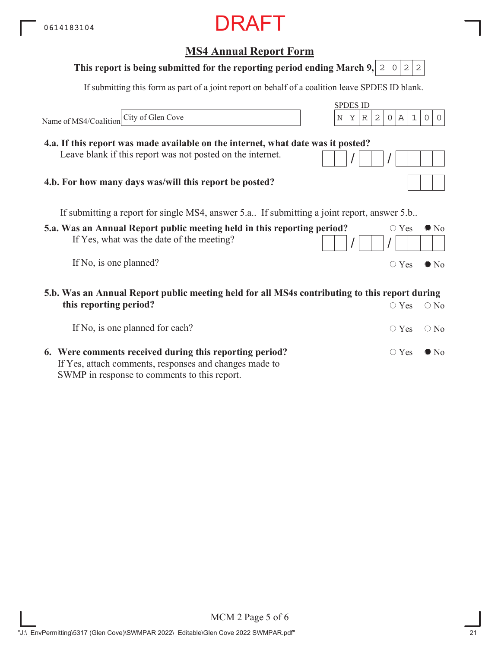### **5.a. Was an Annual Report public meeting held in this reporting period?** If Yes, what was the date of the meeting? If No, is one planned? **MS4 Annual Report Form** SPDES ID If submitting this form as part of a joint report on behalf of a coalition leave SPDES ID blank. Name of MS4/Coalition  $\circ$  Yes  $\bullet$  No  $/$   $/$   $/$  $\circ$  Yes  $\bullet$  No If submitting a report for single MS4, answer 5.a.. If submitting a joint report, answer 5.b.. **5.b. Was an Annual Report public meeting held for all MS4s contributing to this report during This report is being submitted for the reporting period ending March 9, 2 0 2 2 4.a. If this report was made available on the internet, what date was it posted?** Leave blank if this report was not posted on the internet. **4.b. For how many days was/will this report be posted?** City of Glen Cove  $N \mid N \mid Y \mid R \mid 2 \mid 0 \mid A \mid 1 \mid 0 \mid 0$

| this reporting period?                                                                                            | $\circ$ Yes $\circ$ No       |  |
|-------------------------------------------------------------------------------------------------------------------|------------------------------|--|
| If No, is one planned for each?                                                                                   | $\circ$ Yes $\circ$ No       |  |
| 6. Were comments received during this reporting period?<br>If Yes, attach comments, responses and changes made to | $\bigcirc$ Yes $\bigcirc$ No |  |
| SWMP in response to comments to this report.                                                                      |                              |  |

MCM 2 Page 5 of 6 "J:\\_EnvPermitting\5317 (Glen Cove)\SWMPAR 2022\\_Editable\Glen Cove 2022 SWMPAR.pdf"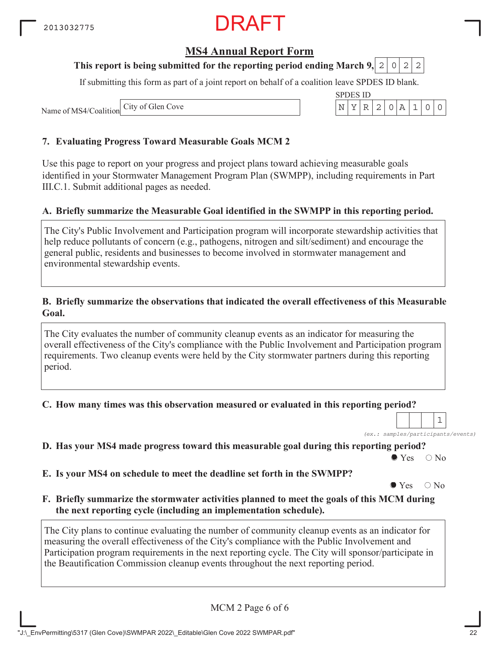### RAFT

#### **MS4 Annual Report Form**

#### **This report is being submitted for the reporting period ending March 9, 2 0 2 2**

If submitting this form as part of a joint report on behalf of a coalition leave SPDES ID blank.

SPDES ID

Name of MS4/Coalition City of Glen Cove N YR 2 0A 1 00

#### **7. Evaluating Progress Toward Measurable Goals MCM 2**

Use this page to report on your progress and project plans toward achieving measurable goals identified in your Stormwater Management Program Plan (SWMPP), including requirements in Part III.C.1. Submit additional pages as needed.

#### **A. Briefly summarize the Measurable Goal identified in the SWMPP in this reporting period.**

The City's Public Involvement and Participation program will incorporate stewardship activities that help reduce pollutants of concern (e.g., pathogens, nitrogen and silt/sediment) and encourage the general public, residents and businesses to become involved in stormwater management and environmental stewardship events.

#### **B. Briefly summarize the observations that indicated the overall effectiveness of this Measurable Goal.**

The City evaluates the number of community cleanup events as an indicator for measuring the overall effectiveness of the City's compliance with the Public Involvement and Participation program requirements. Two cleanup events were held by the City stormwater partners during this reporting period.

**C. How many times was this observation measured or evaluated in this reporting period?**

*(ex.: samples/participants/events)* 1

**D. Has your MS4 made progress toward this measurable goal during this reporting period?**

 $\bullet$  Yes  $\circ$  No

**E. Is your MS4 on schedule to meet the deadline set forth in the SWMPP?**

 $\bullet$  Yes  $\circ$  No

**F. Briefly summarize the stormwater activities planned to meet the goals of this MCM during the next reporting cycle (including an implementation schedule).**

The City plans to continue evaluating the number of community cleanup events as an indicator for measuring the overall effectiveness of the City's compliance with the Public Involvement and Participation program requirements in the next reporting cycle. The City will sponsor/participate in the Beautification Commission cleanup events throughout the next reporting period.

MCM 2 Page 6 of 6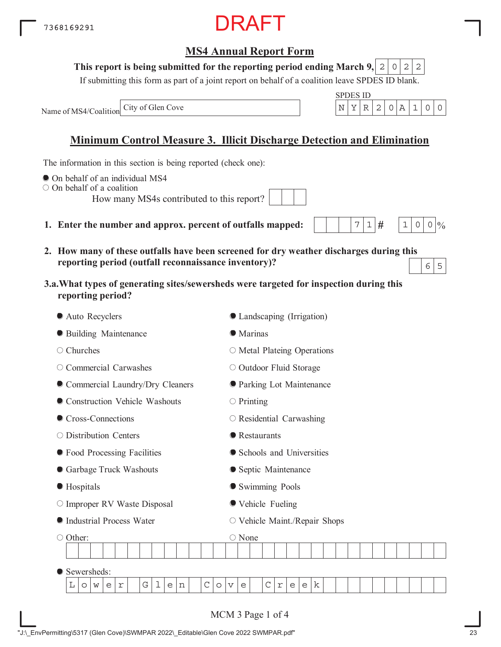**This report is being submitted for the reporting period ending March 9,**  $0|2|2$ 

If submitting this form as part of a joint report on behalf of a coalition leave SPDES ID blank.

DRAFT

Name of MS4/Coalition

### **Minimum Control Measure 3. Illicit Discharge Detection and Elimination**

The information in this section is being reported (check one):

- On behalf of an individual MS4
- On behalf of a coalition
	- How many MS4s contributed to this report?
- **1. Enter the number and approx. percent of outfalls mapped:**
- **2. How many of these outfalls have been screened for dry weather discharges during this reporting period (outfall reconnaissance inventory)?**  $6 \mid 5$
- **3.a.What types of generating sites/sewersheds were targeted for inspection during this reporting period?**

| Auto Recyclers                                                           | C Landscaping (Irrigation)                                                                                          |
|--------------------------------------------------------------------------|---------------------------------------------------------------------------------------------------------------------|
| <b>• Building Maintenance</b>                                            | <b>Marinas</b>                                                                                                      |
| Churches<br>O                                                            | $\circ$ Metal Plateing Operations                                                                                   |
| Commercial Carwashes<br>O                                                | O Outdoor Fluid Storage                                                                                             |
| Commercial Laundry/Dry Cleaners                                          | <b>O</b> Parking Lot Maintenance                                                                                    |
| Construction Vehicle Washouts                                            | $\circ$ Printing                                                                                                    |
| Cross-Connections                                                        | O Residential Carwashing                                                                                            |
| ○ Distribution Centers                                                   | <b>•</b> Restaurants                                                                                                |
| ● Food Processing Facilities                                             | Schools and Universities                                                                                            |
| Garbage Truck Washouts                                                   | • Septic Maintenance                                                                                                |
| ● Hospitals                                                              | Swimming Pools                                                                                                      |
| O Improper RV Waste Disposal                                             | ● Vehicle Fueling                                                                                                   |
| Industrial Process Water                                                 | ○ Vehicle Maint./Repair Shops                                                                                       |
| ○ Other:                                                                 | ○ None                                                                                                              |
|                                                                          |                                                                                                                     |
| Sewersheds:                                                              |                                                                                                                     |
| $\mathsf C$<br>G<br>L<br>$\mathbf 1$<br>е<br>n<br>r<br>$\circ$<br>W<br>e | $\mathsf C$<br>k<br>$\circ$<br>$\mathsf{e}% _{t}\left( t\right)$<br>$\overline{\mathbf{V}}$<br>$\Upsilon$<br>e<br>e |
|                                                                          |                                                                                                                     |
|                                                                          | MCM 3 Page 1 of 4                                                                                                   |

 $7|1|#$ 

 $1 \, | \, 0 \, | \, 0 \, | \, 0$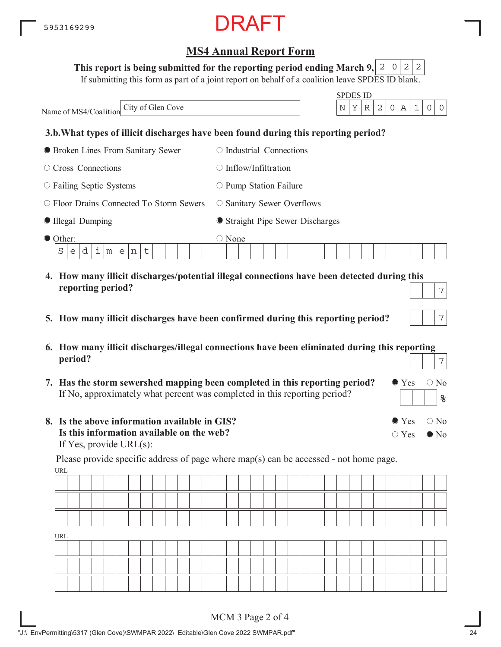#### This report is being submitted for the reporting period ending March 9,  $\mid$  2  $\mid$  0  $\mid$  2  $\mid$  2

If submitting this form as part of a joint report on behalf of a coalition leave SPDES ID blank.

| City of Glen Cove<br>Name of MS4/Coalition       | <b>SPDES ID</b><br>2<br>Υ<br>1<br>N<br>R<br>А<br>0<br>0<br>0                                     |
|--------------------------------------------------|--------------------------------------------------------------------------------------------------|
|                                                  | 3.b. What types of illicit discharges have been found during this reporting period?              |
| <b>• Broken Lines From Sanitary Sewer</b>        | $\circ$ Industrial Connections                                                                   |
| $\circ$ Cross Connections                        | $\bigcirc$ Inflow/Infiltration                                                                   |
| ○ Failing Septic Systems                         | $\circ$ Pump Station Failure                                                                     |
| ○ Floor Drains Connected To Storm Sewers         | $\circ$ Sanitary Sewer Overflows                                                                 |
| Illegal Dumping                                  | • Straight Pipe Sewer Discharges                                                                 |
| ● Other:<br>i<br>d<br>S<br>t<br>m<br>e<br>e<br>n | $\bigcirc$ None                                                                                  |
| reporting period?                                | 4. How many illicit discharges/potential illegal connections have been detected during this<br>7 |
| 5.                                               | 7<br>How many illicit discharges have been confirmed during this reporting period?               |

- **6. How many illicit discharges/illegal connections have been eliminated during this reporting period?** 7
- **7. Has the storm sewershed mapping been completed in this reporting period?** If No, approximately what percent was completed in this reporting period?
- **8. Is the above information available in GIS? Is this information available on the web?** If Yes, provide URL(s):

URL Please provide specific address of page where map(s) can be accessed - not home page.

| ----- |  |  |  |  |  |  |  |  |  |  |  |  |  |  |  |  |
|-------|--|--|--|--|--|--|--|--|--|--|--|--|--|--|--|--|
|       |  |  |  |  |  |  |  |  |  |  |  |  |  |  |  |  |
|       |  |  |  |  |  |  |  |  |  |  |  |  |  |  |  |  |
|       |  |  |  |  |  |  |  |  |  |  |  |  |  |  |  |  |
| URL   |  |  |  |  |  |  |  |  |  |  |  |  |  |  |  |  |
|       |  |  |  |  |  |  |  |  |  |  |  |  |  |  |  |  |
|       |  |  |  |  |  |  |  |  |  |  |  |  |  |  |  |  |
|       |  |  |  |  |  |  |  |  |  |  |  |  |  |  |  |  |

 $\bullet$  Yes  $\circ$  No

 $\bullet$  Yes  $\circ$  No

 $\bigcirc$  Yes  $\bigcirc$  No

**%**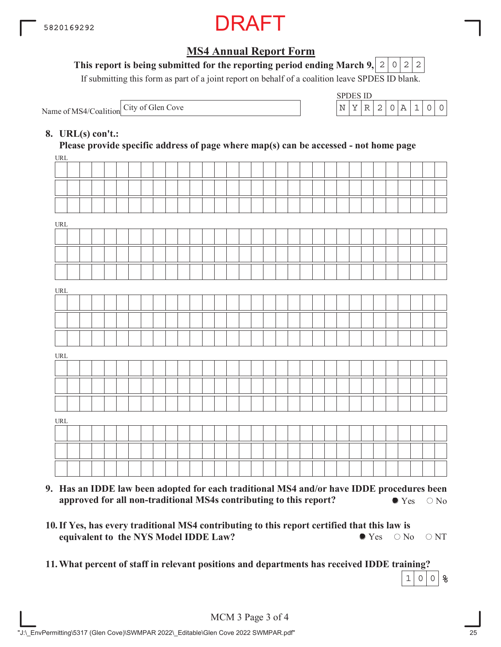

#### This report is being submitted for the reporting period ending March 9,  $\mid$  2  $\mid$  0  $\mid$  2  $\mid$  2

If submitting this form as part of a joint report on behalf of a coalition leave SPDES ID blank.

Name of MS4/Coalition City of Glen Cove

| SPDES ID |   |     |    |  |  |
|----------|---|-----|----|--|--|
|          | ⊃ | -21 | O. |  |  |

#### **8. URL(s) con't.:**

 $\overline{u}$ **Please provide specific address of page where map(s) can be accessed - not home page**

| URL                                |  |  |  |  |  |  |  |  |  |  |  |  |  |  |  |  |
|------------------------------------|--|--|--|--|--|--|--|--|--|--|--|--|--|--|--|--|
|                                    |  |  |  |  |  |  |  |  |  |  |  |  |  |  |  |  |
|                                    |  |  |  |  |  |  |  |  |  |  |  |  |  |  |  |  |
|                                    |  |  |  |  |  |  |  |  |  |  |  |  |  |  |  |  |
| $\ensuremath{\mathsf{URL}}\xspace$ |  |  |  |  |  |  |  |  |  |  |  |  |  |  |  |  |
|                                    |  |  |  |  |  |  |  |  |  |  |  |  |  |  |  |  |
|                                    |  |  |  |  |  |  |  |  |  |  |  |  |  |  |  |  |
|                                    |  |  |  |  |  |  |  |  |  |  |  |  |  |  |  |  |
| URL                                |  |  |  |  |  |  |  |  |  |  |  |  |  |  |  |  |
|                                    |  |  |  |  |  |  |  |  |  |  |  |  |  |  |  |  |
|                                    |  |  |  |  |  |  |  |  |  |  |  |  |  |  |  |  |
|                                    |  |  |  |  |  |  |  |  |  |  |  |  |  |  |  |  |
| $\ensuremath{\mathsf{URL}}\xspace$ |  |  |  |  |  |  |  |  |  |  |  |  |  |  |  |  |
|                                    |  |  |  |  |  |  |  |  |  |  |  |  |  |  |  |  |
|                                    |  |  |  |  |  |  |  |  |  |  |  |  |  |  |  |  |
|                                    |  |  |  |  |  |  |  |  |  |  |  |  |  |  |  |  |
| URL                                |  |  |  |  |  |  |  |  |  |  |  |  |  |  |  |  |
|                                    |  |  |  |  |  |  |  |  |  |  |  |  |  |  |  |  |
|                                    |  |  |  |  |  |  |  |  |  |  |  |  |  |  |  |  |
|                                    |  |  |  |  |  |  |  |  |  |  |  |  |  |  |  |  |
|                                    |  |  |  |  |  |  |  |  |  |  |  |  |  |  |  |  |

- **9. Has an IDDE law been adopted for each traditional MS4 and/or have IDDE procedures been approved for all non-traditional MS4s contributing to this report?**  $\bullet$  Yes  $\circ$  No
- **10. If Yes, has every traditional MS4 contributing to this report certified that this law is equivalent to the NYS Model IDDE Law?**  $\bullet$  Yes  $\circ$  No  $\circ$  NT
- **11.What percent of staff in relevant positions and departments has received IDDE training? %**  $1|0|0$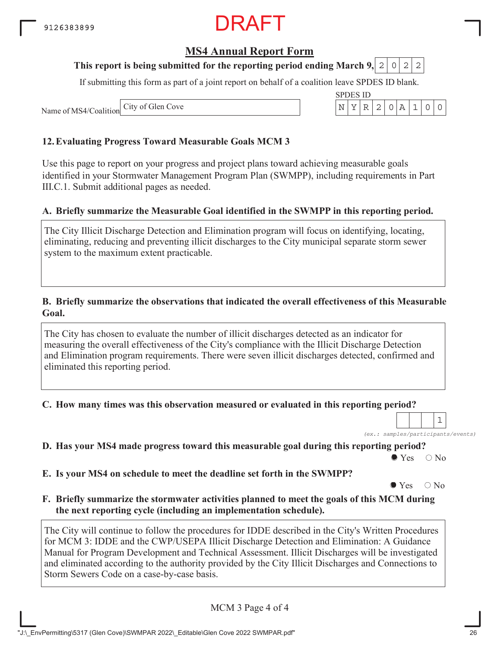#### **MS4 Annual Report Form**

#### **This report is being submitted for the reporting period ending March 9, 2 0 2 2**

If submitting this form as part of a joint report on behalf of a coalition leave SPDES ID blank.

SPDES ID

Name of MS4/Coalition City of Glen Cove N YR 2 0A 1 00

#### **12.Evaluating Progress Toward Measurable Goals MCM 3**

Use this page to report on your progress and project plans toward achieving measurable goals identified in your Stormwater Management Program Plan (SWMPP), including requirements in Part III.C.1. Submit additional pages as needed.

#### **A. Briefly summarize the Measurable Goal identified in the SWMPP in this reporting period.**

The City Illicit Discharge Detection and Elimination program will focus on identifying, locating, eliminating, reducing and preventing illicit discharges to the City municipal separate storm sewer system to the maximum extent practicable.

#### **B. Briefly summarize the observations that indicated the overall effectiveness of this Measurable Goal.**

The City has chosen to evaluate the number of illicit discharges detected as an indicator for measuring the overall effectiveness of the City's compliance with the Illicit Discharge Detection and Elimination program requirements. There were seven illicit discharges detected, confirmed and eliminated this reporting period.

**C. How many times was this observation measured or evaluated in this reporting period?**

*(ex.: samples/participants/events)* 1

**D. Has your MS4 made progress toward this measurable goal during this reporting period?**

 $\bullet$  Yes  $\circ$  No

**E. Is your MS4 on schedule to meet the deadline set forth in the SWMPP?**

 $\bullet$  Yes  $\circ$  No

**F. Briefly summarize the stormwater activities planned to meet the goals of this MCM during the next reporting cycle (including an implementation schedule).**

The City will continue to follow the procedures for IDDE described in the City's Written Procedures for MCM 3: IDDE and the CWP/USEPA Illicit Discharge Detection and Elimination: A Guidance Manual for Program Development and Technical Assessment. Illicit Discharges will be investigated and eliminated according to the authority provided by the City Illicit Discharges and Connections to Storm Sewers Code on a case-by-case basis.

MCM 3 Page 4 of 4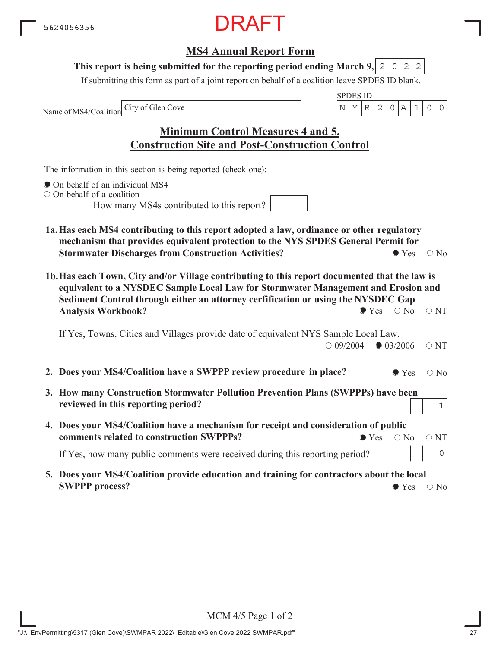#### **MS4 Annual Report Form**

#### This report is being submitted for the reporting period ending March 9,  $|2|0|2|2$

If submitting this form as part of a joint report on behalf of a coalition leave SPDES ID blank.

Name of MS4/Coalition

SPDES ID City of Glen Cove  $\vert N \vert Y \vert R \vert 2 \vert 0 \vert A \vert 1 \vert 0 \vert 0$ 

| <b>Minimum Control Measures 4 and 5.</b>               |  |
|--------------------------------------------------------|--|
| <b>Construction Site and Post-Construction Control</b> |  |

The information in this section is being reported (check one):

- On behalf of an individual MS4
- $\circ$  On behalf of a coalition

How many MS4s contributed to this report?

- **1a.Has each MS4 contributing to this report adopted a law, ordinance or other regulatory mechanism that provides equivalent protection to the NYS SPDES General Permit for Stormwater Discharges from Construction Activities?**  $\bullet$  Yes  $\circ$  No
- **1b.Has each Town, City and/or Village contributing to this report documented that the law is equivalent to a NYSDEC Sample Local Law for Stormwater Management and Erosion and Sediment Control through either an attorney cerfification or using the NYSDEC Gap Analysis Workbook?**  $\bullet$  Yes  $\circ$  No  $\circ$  NT

If Yes, Towns, Cities and Villages provide date of equivalent NYS Sample Local Law.  $\bigcirc$  09/2004  $\bigcirc$  03/2006  $\bigcirc$  NT

- **2. Does your MS4/Coalition have a SWPPP review procedure in place?**  $\bullet$  Yes  $\circ$  No
- **3. How many Construction Stormwater Pollution Prevention Plans (SWPPPs) have been reviewed in this reporting period?**
- **4. Does your MS4/Coalition have a mechanism for receipt and consideration of public comments related to construction SWPPPs?**  $\bullet$  Yes  $\circ$  No  $\circ$  NT

If Yes, how many public comments were received during this reporting period?

**5. Does your MS4/Coalition provide education and training for contractors about the local SWPPP process?**  $\bullet$  Yes  $\circ$  No

1

0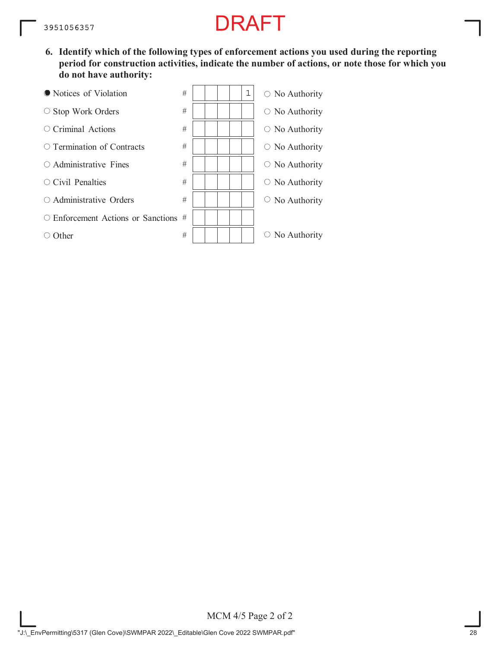**6. Identify which of the following types of enforcement actions you used during the reporting period for construction activities, indicate the number of actions, or note those for which you do not have authority:**



MCM 4/5 Page 2 of 2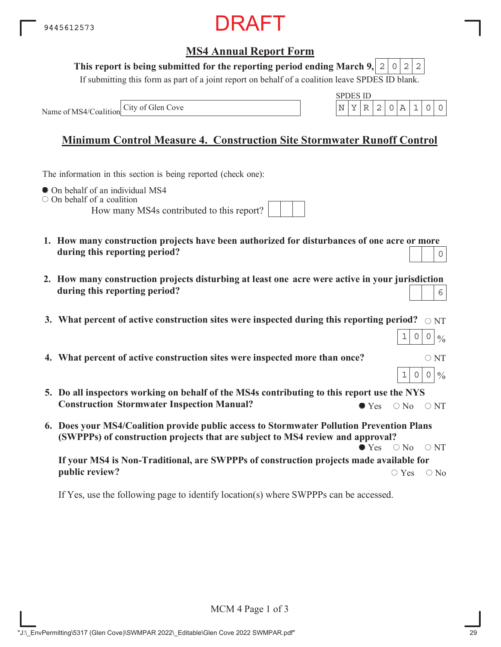

#### This report is being submitted for the reporting period ending March 9,  $|2|0|2|2$

If submitting this form as part of a joint report on behalf of a coalition leave SPDES ID blank.

Name of MS4/Coalition



#### **Minimum Control Measure 4. Construction Site Stormwater Runoff Control**

The information in this section is being reported (check one):

 $\bullet$  On behalf of an individual MS4

 $\circ$  On behalf of a coalition

How many MS4s contributed to this report?

| 1. How many construction projects have been authorized for disturbances of one acre or more |                                               |  |
|---------------------------------------------------------------------------------------------|-----------------------------------------------|--|
| during this reporting period?                                                               | $\begin{array}{c c c c c} \hline \end{array}$ |  |

- **2. How many construction projects disturbing at least one acre were active in your jurisdiction during this reporting period?** 6
- 3. What percent of active construction sites were inspected during this reporting period?  $\,\circ$   $_{\rm NT}$

| 4. What percent of active construction sites were inspected more than once? | $\circ$ NT |
|-----------------------------------------------------------------------------|------------|
|                                                                             |            |

- **5. Do all inspectors working on behalf of the MS4s contributing to this report use the NYS Construction Stormwater Inspection Manual?**  $\bullet$  Yes  $\circ$  No  $\circ$  NT
- **6. Does your MS4/Coalition provide public access to Stormwater Pollution Prevention Plans (SWPPPs) of construction projects that are subject to MS4 review and approval?**  $\bullet$  Yes  $\circ$  No  $\circ$  NT

**If your MS4 is Non-Traditional, are SWPPPs of construction projects made available for public review?**  $\bigcirc$  Yes  $\bigcirc$  No

If Yes, use the following page to identify location(s) where SWPPPs can be accessed.

 $\frac{0}{0}$ 

 $0|0$ 

 $00$ 

 $\frac{0}{0}$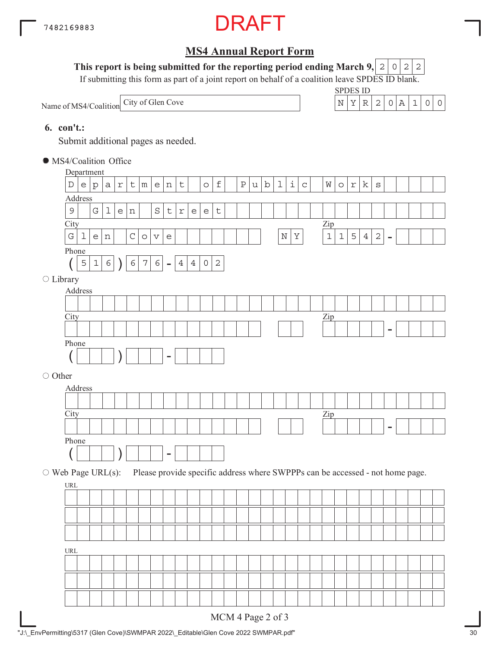

This report is being submitted for the reporting period ending March 9,  $|2|0|2|2$ 

If submitting this form as part of a joint report on behalf of a coalition leave SPDES ID blank.

Name of MS4/Coalition City of Glen Cove  $N = \begin{bmatrix} N & Y & R & 2 & 0 & A & 1 & 0 \end{bmatrix}$ 

SPDES ID



#### **6. con't.:**

Submit additional pages as needed.

| Department                       |                       |              | • MS4/Coalition Office |            |             |            |                       |                                   |                |                |                                   |              |              |    |         |             |                    |             |                                                                               |             |             |                |              |                |  |  |
|----------------------------------|-----------------------|--------------|------------------------|------------|-------------|------------|-----------------------|-----------------------------------|----------------|----------------|-----------------------------------|--------------|--------------|----|---------|-------------|--------------------|-------------|-------------------------------------------------------------------------------|-------------|-------------|----------------|--------------|----------------|--|--|
|                                  |                       |              |                        |            |             |            |                       |                                   |                |                |                                   |              |              |    |         |             |                    |             |                                                                               |             |             |                |              |                |  |  |
| $\mathbb D$                      | $\mathop{\mathrm{e}}$ | $\rm p$      | $\mbox{a}$             | $\Upsilon$ | t           | m          |                       | e n                               | $\mathsf t$    |                | $\circ$                           | $\mathbf f$  | $\, {\bf P}$ | u. | $\rm b$ | $\mathbf 1$ | $\dot{\mathtt{l}}$ | $\mathsf C$ | W                                                                             | $\circ$     | $\Upsilon$  | k              | $\rm S$      |                |  |  |
| Address                          |                       |              |                        |            |             |            |                       |                                   |                |                |                                   |              |              |    |         |             |                    |             |                                                                               |             |             |                |              |                |  |  |
| $\mathsf 9$                      |                       | G            | $\mathbf 1$            | $\epsilon$ | n           |            | $\rm S$               | $\mathsf t$                       | $\Upsilon$     | $\epsilon$     | $\mathsf{e}% _{t}\left( t\right)$ | $\sf t$      |              |    |         |             |                    |             |                                                                               |             |             |                |              |                |  |  |
| City                             |                       |              |                        |            |             |            |                       |                                   |                |                |                                   |              |              |    |         |             |                    |             | Zip                                                                           |             |             |                |              |                |  |  |
| ${\bf G}$                        | $\mathbf 1$           | $\mathsf{e}$ | n                      |            | $\mathsf C$ | $\circ$    | $\boldsymbol{\nabla}$ | $\mathsf{e}% _{t}\left( t\right)$ |                |                |                                   |              |              |    |         | $\mathbf N$ | $\rm Y$            |             | $\mathbf 1$                                                                   | $\mathbf 1$ | $\mathsf S$ | $\overline{4}$ | $\mathbf{2}$ | $\blacksquare$ |  |  |
| Phone                            |                       |              |                        |            |             |            |                       |                                   |                |                |                                   |              |              |    |         |             |                    |             |                                                                               |             |             |                |              |                |  |  |
|                                  | 5                     | $\mathbf 1$  | $\epsilon$             |            | $\epsilon$  | $\sqrt{7}$ | $\epsilon$            | $\overline{\phantom{a}}$          | $\overline{4}$ | $\overline{4}$ | $\mathsf O$                       | $\mathbf{2}$ |              |    |         |             |                    |             |                                                                               |             |             |                |              |                |  |  |
| ○ Library                        |                       |              |                        |            |             |            |                       |                                   |                |                |                                   |              |              |    |         |             |                    |             |                                                                               |             |             |                |              |                |  |  |
| Address                          |                       |              |                        |            |             |            |                       |                                   |                |                |                                   |              |              |    |         |             |                    |             |                                                                               |             |             |                |              |                |  |  |
|                                  |                       |              |                        |            |             |            |                       |                                   |                |                |                                   |              |              |    |         |             |                    |             |                                                                               |             |             |                |              |                |  |  |
| City                             |                       |              |                        |            |             |            |                       |                                   |                |                |                                   |              |              |    |         |             |                    |             | $\mathbf{Zip}$                                                                |             |             |                |              |                |  |  |
|                                  |                       |              |                        |            |             |            |                       |                                   |                |                |                                   |              |              |    |         |             |                    |             |                                                                               |             |             |                |              | ۰              |  |  |
| Phone                            |                       |              |                        |            |             |            |                       |                                   |                |                |                                   |              |              |    |         |             |                    |             |                                                                               |             |             |                |              |                |  |  |
|                                  |                       |              |                        |            |             |            |                       | $\overline{\phantom{0}}$          |                |                |                                   |              |              |    |         |             |                    |             |                                                                               |             |             |                |              |                |  |  |
|                                  |                       |              |                        |            |             |            |                       |                                   |                |                |                                   |              |              |    |         |             |                    |             |                                                                               |             |             |                |              |                |  |  |
| ○ Other                          |                       |              |                        |            |             |            |                       |                                   |                |                |                                   |              |              |    |         |             |                    |             |                                                                               |             |             |                |              |                |  |  |
| Address                          |                       |              |                        |            |             |            |                       |                                   |                |                |                                   |              |              |    |         |             |                    |             |                                                                               |             |             |                |              |                |  |  |
|                                  |                       |              |                        |            |             |            |                       |                                   |                |                |                                   |              |              |    |         |             |                    |             |                                                                               |             |             |                |              |                |  |  |
|                                  |                       |              |                        |            |             |            |                       |                                   |                |                |                                   |              |              |    |         |             |                    |             | $_{\rm Zip}$                                                                  |             |             |                |              |                |  |  |
| City                             |                       |              |                        |            |             |            |                       |                                   |                |                |                                   |              |              |    |         |             |                    |             |                                                                               |             |             |                |              |                |  |  |
|                                  |                       |              |                        |            |             |            |                       |                                   |                |                |                                   |              |              |    |         |             |                    |             |                                                                               |             |             |                |              |                |  |  |
| Phone                            |                       |              |                        |            |             |            |                       |                                   |                |                |                                   |              |              |    |         |             |                    |             |                                                                               |             |             |                |              |                |  |  |
|                                  |                       |              |                        |            |             |            |                       |                                   |                |                |                                   |              |              |    |         |             |                    |             |                                                                               |             |             |                |              |                |  |  |
| $\circ$ Web Page URL(s):         |                       |              |                        |            |             |            |                       |                                   |                |                |                                   |              |              |    |         |             |                    |             | Please provide specific address where SWPPPs can be accessed - not home page. |             |             |                |              |                |  |  |
| URL                              |                       |              |                        |            |             |            |                       |                                   |                |                |                                   |              |              |    |         |             |                    |             |                                                                               |             |             |                |              |                |  |  |
|                                  |                       |              |                        |            |             |            |                       |                                   |                |                |                                   |              |              |    |         |             |                    |             |                                                                               |             |             |                |              |                |  |  |
|                                  |                       |              |                        |            |             |            |                       |                                   |                |                |                                   |              |              |    |         |             |                    |             |                                                                               |             |             |                |              |                |  |  |
|                                  |                       |              |                        |            |             |            |                       |                                   |                |                |                                   |              |              |    |         |             |                    |             |                                                                               |             |             |                |              |                |  |  |
|                                  |                       |              |                        |            |             |            |                       |                                   |                |                |                                   |              |              |    |         |             |                    |             |                                                                               |             |             |                |              |                |  |  |
| $\ensuremath{\text{URL}}\xspace$ |                       |              |                        |            |             |            |                       |                                   |                |                |                                   |              |              |    |         |             |                    |             |                                                                               |             |             |                |              |                |  |  |
|                                  |                       |              |                        |            |             |            |                       |                                   |                |                |                                   |              |              |    |         |             |                    |             |                                                                               |             |             |                |              |                |  |  |
|                                  |                       |              |                        |            |             |            |                       |                                   |                |                |                                   |              |              |    |         |             |                    |             |                                                                               |             |             |                |              |                |  |  |
|                                  |                       |              |                        |            |             |            |                       |                                   |                |                |                                   |              |              |    |         |             |                    |             |                                                                               |             |             |                |              |                |  |  |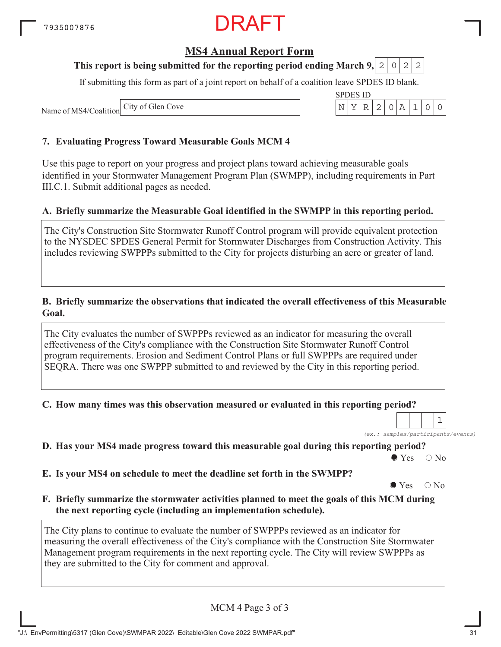#### **MS4 Annual Report Form**

#### **This report is being submitted for the reporting period ending March 9, 2 0 2 2**

If submitting this form as part of a joint report on behalf of a coalition leave SPDES ID blank.

SPDES ID

Name of MS4/Coalition City of Glen Cove N YR 2 0A 1 00

#### **7. Evaluating Progress Toward Measurable Goals MCM 4**

Use this page to report on your progress and project plans toward achieving measurable goals identified in your Stormwater Management Program Plan (SWMPP), including requirements in Part III.C.1. Submit additional pages as needed.

#### **A. Briefly summarize the Measurable Goal identified in the SWMPP in this reporting period.**

The City's Construction Site Stormwater Runoff Control program will provide equivalent protection to the NYSDEC SPDES General Permit for Stormwater Discharges from Construction Activity. This includes reviewing SWPPPs submitted to the City for projects disturbing an acre or greater of land.

#### **B. Briefly summarize the observations that indicated the overall effectiveness of this Measurable Goal.**

The City evaluates the number of SWPPPs reviewed as an indicator for measuring the overall effectiveness of the City's compliance with the Construction Site Stormwater Runoff Control program requirements. Erosion and Sediment Control Plans or full SWPPPs are required under SEQRA. There was one SWPPP submitted to and reviewed by the City in this reporting period.

**C. How many times was this observation measured or evaluated in this reporting period?**

*(ex.: samples/participants/events)*

1

**D. Has your MS4 made progress toward this measurable goal during this reporting period?**

 $\bullet$  Yes  $\circ$  No

**E. Is your MS4 on schedule to meet the deadline set forth in the SWMPP?**

 $\bullet$  Yes  $\circ$  No

**F. Briefly summarize the stormwater activities planned to meet the goals of this MCM during the next reporting cycle (including an implementation schedule).**

The City plans to continue to evaluate the number of SWPPPs reviewed as an indicator for measuring the overall effectiveness of the City's compliance with the Construction Site Stormwater Management program requirements in the next reporting cycle. The City will review SWPPPs as they are submitted to the City for comment and approval.

MCM 4 Page 3 of 3

| $110111 + 14500010$ |
|---------------------|
|                     |
|                     |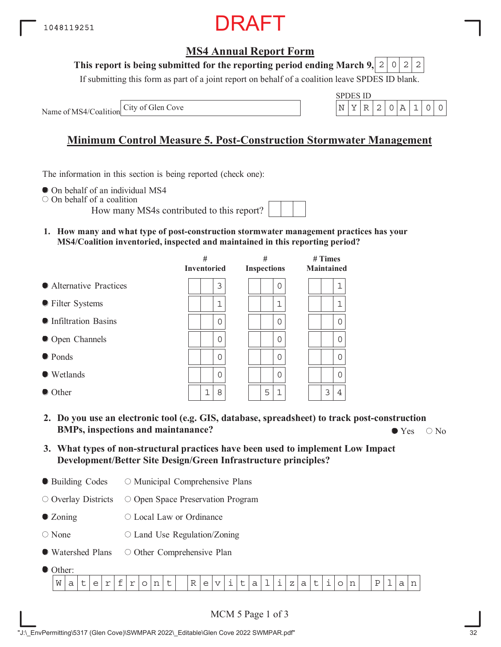#### **MS4 Annual Report Form**

#### **This report is being submitted for the reporting period ending March 9,**  $2|0|2|2$

If submitting this form as part of a joint report on behalf of a coalition leave SPDES ID blank.

Name of MS4/Coalition



#### **Minimum Control Measure 5. Post-Construction Stormwater Management**

The information in this section is being reported (check one):

 $\bullet$  On behalf of an individual MS4

On behalf of a coalition

How many MS4s contributed to this report?

**1. How many and what type of post-construction stormwater management practices has your MS4/Coalition inventoried, inspected and maintained in this reporting period?**

|                         | #<br><b>Inventoried</b> | #<br><b>Inspections</b> | $#$ Times<br><b>Maintained</b> |
|-------------------------|-------------------------|-------------------------|--------------------------------|
| • Alternative Practices | 3                       | 0                       | 1                              |
| ● Filter Systems        | $\mathbf 1$             | 1                       | 1                              |
| • Infiltration Basins   | 0                       | 0                       | 0                              |
| • Open Channels         | 0                       | 0                       | 0                              |
| $\bullet$ Ponds         | $\Omega$                | 0                       | $\Omega$                       |
| $\bullet$ Wetlands      | $\Omega$                | 0                       | $\Omega$                       |
| $\bullet$ Other         | $\mathbf 1$<br>8        | 5<br>1                  | 3<br>4                         |

- **2. Do you use an electronic tool (e.g. GIS, database, spreadsheet) to track post-construction BMPs, inspections and maintanance?**  $\bullet$  Yes  $\circ$  No
- **3. What types of non-structural practices have been used to implement Low Impact Development/Better Site Design/Green Infrastructure principles?**
- Building Codes O Municipal Comprehensive Plans

Overlay Districts O Open Space Preservation Program

- Zoning Local Law or Ordinance
- None  $\circ$  Land Use Regulation/Zoning
- Watershed Plans O Other Comprehensive Plan
- $\bullet$  Other:

| .      |   |   |             |   |             |             |             |   |   |                               |                        |   |   |        |        |           |                                                           |        |   |           |   |               |  |                |   |           |
|--------|---|---|-------------|---|-------------|-------------|-------------|---|---|-------------------------------|------------------------|---|---|--------|--------|-----------|-----------------------------------------------------------|--------|---|-----------|---|---------------|--|----------------|---|-----------|
| W<br>∽ | ັ | ٮ | $\sim$<br>- | - | $\sim$<br>- | $\check{ }$ | $\sim$<br>. | ๛ | ĸ | $\overline{\phantom{a}}$<br>J | $- -$<br>$\mathcal{L}$ | - | U | -<br>ີ | -<br>- | <b>__</b> | $\overline{\phantom{a}}$<br>▵<br>$\overline{\phantom{0}}$ | ∽<br>ີ | ֊ | <b>__</b> | ◡ | $\sim$<br>. . |  | <b>__</b><br>– | ີ | --<br>. . |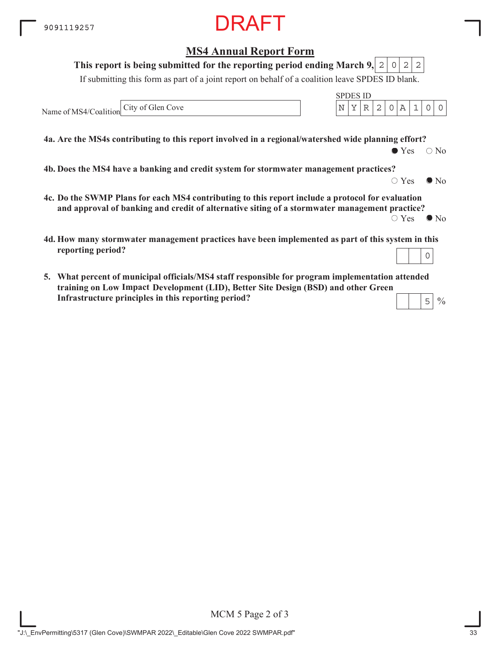**MS4 Annual Report Form**

#### **4a. Are the MS4s contributing to this report involved in a regional/watershed wide planning effort?** If submitting this form as part of a joint report on behalf of a coalition leave SPDES ID blank. Name of MS4/Coalition SPDES ID **This report is being submitted for the reporting period ending March 9,**  $\bullet$  Yes  $\circ$  No **4b. Does the MS4 have a banking and credit system for stormwater management practices?**  $\circ$  Yes  $\bullet$  No **4c. Do the SWMP Plans for each MS4 contributing to this report include a protocol for evaluation and approval of banking and credit of alternative siting of a stormwater management practice?**  $\circ$  Yes  $\bullet$  No **4d. How many stormwater management practices have been implemented as part of this system in this reporting period?**  $2|0|2|2$ City of Glen Cove  $\begin{array}{c|c|c|c|c|c|c|c|c} \hline \text{City of Glen Cove} & & & \text{N} & \text{Y} & \text{R} & \text{2} & \text{0} & \text{A} & \text{1} & \text{0} & \text{0} \ \hline \end{array}$ 0

**5. What percent of municipal officials/MS4 staff responsible for program implementation attended training on Low Impace Development (LID), Better Site Design (BSD) and other Green ImpactInfrastructure principles in this reporting period?** 5

 $\frac{0}{0}$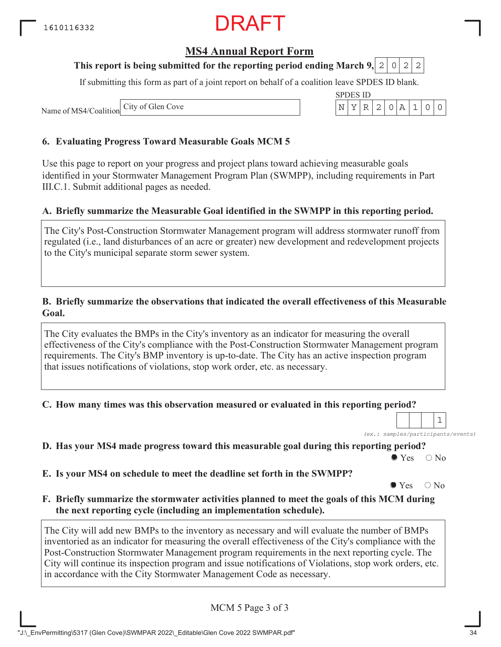### RAFT

#### **MS4 Annual Report Form**

#### **This report is being submitted for the reporting period ending March 9,**  $0|2|2$

If submitting this form as part of a joint report on behalf of a coalition leave SPDES ID blank.

Name of MS4/Coalition City of Glen Cove

#### **6. Evaluating Progress Toward Measurable Goals MCM 5**

Use this page to report on your progress and project plans toward achieving measurable goals identified in your Stormwater Management Program Plan (SWMPP), including requirements in Part III.C.1. Submit additional pages as needed.

#### **A. Briefly summarize the Measurable Goal identified in the SWMPP in this reporting period.**

The City's Post-Construction Stormwater Management program will address stormwater runoff from regulated (i.e., land disturbances of an acre or greater) new development and redevelopment projects to the City's municipal separate storm sewer system.

#### **B. Briefly summarize the observations that indicated the overall effectiveness of this Measurable Goal.**

The City evaluates the BMPs in the City's inventory as an indicator for measuring the overall effectiveness of the City's compliance with the Post-Construction Stormwater Management program requirements. The City's BMP inventory is up-to-date. The City has an active inspection program that issues notifications of violations, stop work order, etc. as necessary.

**C. How many times was this observation measured or evaluated in this reporting period?**

*(ex.: samples/participants/events)*

1

**D. Has your MS4 made progress toward this measurable goal during this reporting period?**

 $\bullet$  Yes  $\circ$  No

**E. Is your MS4 on schedule to meet the deadline set forth in the SWMPP?**

 $\bullet$  Yes  $\circ$  No

**F. Briefly summarize the stormwater activities planned to meet the goals of this MCM during the next reporting cycle (including an implementation schedule).**

The City will add new BMPs to the inventory as necessary and will evaluate the number of BMPs inventoried as an indicator for measuring the overall effectiveness of the City's compliance with the Post-Construction Stormwater Management program requirements in the next reporting cycle. The City will continue its inspection program and issue notifications of Violations, stop work orders, etc. in accordance with the City Stormwater Management Code as necessary.

MCM 5 Page 3 of 3

| SPDES ID |  |  |  |  |
|----------|--|--|--|--|
|          |  |  |  |  |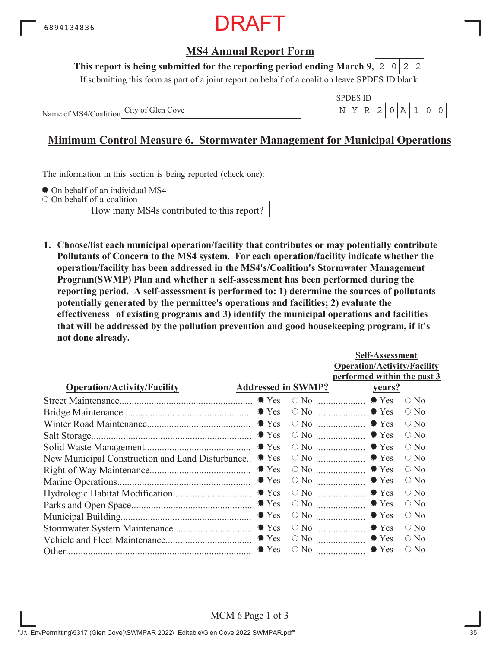

#### **This report is being submitted for the reporting period ending March 9,**  $2|0|2|2$

If submitting this form as part of a joint report on behalf of a coalition leave SPDES ID blank.

Name of MS4/Coalition



#### **Minimum Control Measure 6. Stormwater Management for Municipal Operations**

The information in this section is being reported (check one):

 $\bullet$  On behalf of an individual MS4

On behalf of a coalition

How many MS4s contributed to this report?



**1. Choose/list each municipal operation/facility that contributes or may potentially contribute Pollutants of Concern to the MS4 system. For each operation/facility indicate whether the operation/facility has been addressed in the MS4's/Coalition's Stormwater Management Program(SWMP) Plan and whether a self-assessment has been performed during the reporting period. A self-assessment is performed to: 1) determine the sources of pollutants potentially generated by the permittee's operations and facilities; 2) evaluate the effectiveness of existing programs and 3) identify the municipal operations and facilities that will be addressed by the pollution prevention and good housekeeping program, if it's not done already.**

|                                                 |                           |                                                | <b>Self-Assessment</b>             |               |
|-------------------------------------------------|---------------------------|------------------------------------------------|------------------------------------|---------------|
|                                                 |                           |                                                | <b>Operation/Activity/Facility</b> |               |
|                                                 |                           |                                                | performed within the past 3        |               |
| <b>Operation/Activity/Facility</b>              | <b>Addressed in SWMP?</b> |                                                | <u>vears?</u>                      |               |
|                                                 |                           |                                                |                                    | $\bigcirc$ No |
|                                                 |                           |                                                |                                    | $\bigcirc$ No |
|                                                 |                           |                                                |                                    | $\circ$ No    |
|                                                 |                           |                                                |                                    | $\bigcirc$ No |
|                                                 |                           |                                                |                                    | $\bigcirc$ No |
| New Municipal Construction and Land Disturbance | $\bullet$ Yes             |                                                | $\circ$ No $\ldots$ $\bullet$ Yes  | $\circ$ No    |
|                                                 | $\bullet$ Yes             |                                                | $\circ$ No $\ldots$ $\bullet$ Yes  | $\circ$ No    |
|                                                 | $\bullet$ Yes             | $\circ$ No $\ldots$ $\ldots$ $\ldots$ $\ldots$ | $\bullet$ Yes                      | $\circ$ No    |
|                                                 |                           |                                                | $\bullet$ Yes                      | $\bigcirc$ No |
|                                                 |                           | $\circ$ No $\ldots$ $\ldots$ $\ldots$ $\ldots$ | $\bullet$ Yes                      | $\bigcirc$ No |
|                                                 | $\bullet$ Yes             |                                                | $\bullet$ Yes                      | $\circ$ No    |
|                                                 |                           | $\circ$ No $\ldots$                            | $\bullet$ Yes                      | $\bigcirc$ No |
|                                                 |                           |                                                | $\circ$ No $\ldots$ $\bullet$ Yes  | $\circ$ No    |
|                                                 | $\bullet$ Yes             | $\circ$ No $\ldots$                            | $\bullet$ Yes                      | $\bigcirc$ No |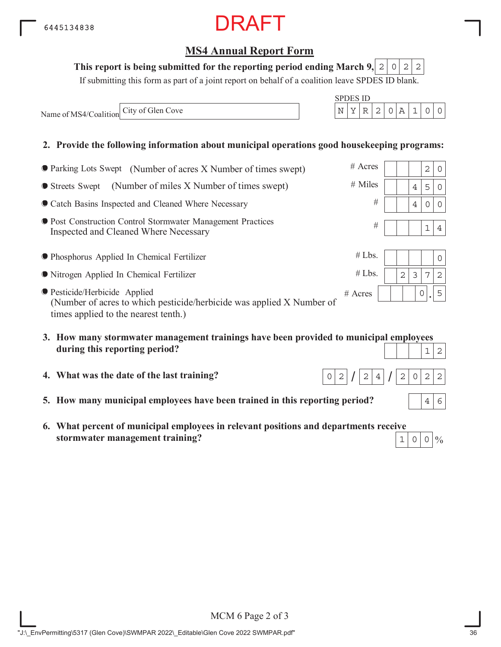| <b>• Post Construction Control Stormwater Management Practices</b> |  |
|--------------------------------------------------------------------|--|
| Inspected and Cleaned Where Necessary                              |  |

**Catch Basins Inspected and Cleaned Where Necessary** 

Parking Lots Swept (Number of acres X Number of times swept)

Streets Swept (Number of miles X Number of times swept)

Phosphorus Applied In Chemical Fertilizer

- Nitrogen Applied In Chemical Fertilizer
- Pesticide/Herbicide Applied (Number of acres to which pesticide/herbicide was applied X Number of times applied to the nearest tenth.)
- **3. How many stormwater management trainings have been provided to municipal employees during this reporting period?**
- **4. What was the date of the last training?**
- **5. How many municipal employees have been trained in this reporting period?**
- **6. What percent of municipal employees in relevant positions and departments receive stormwater management training?**

### **MS4 Annual Report Form**

DRAFT

#### **This report is being submitted for the reporting period ending March 9,**  $0|2|2$

If submitting this form as part of a joint report on behalf of a coalition leave SPDES ID blank.

Name of MS4/Coalition City of Glen Cove  $N^2$  N  $\left\lfloor N \left| Y \right| R \right\rfloor 2$  | 0 | A | 1 | 0 | 0

6445134838

#### **2. Provide the following information about municipal operations good housekeeping programs:**



SPDES ID

# Acres

# Miles

#

 $2$  0

 $4|5|0$ 

 $400$